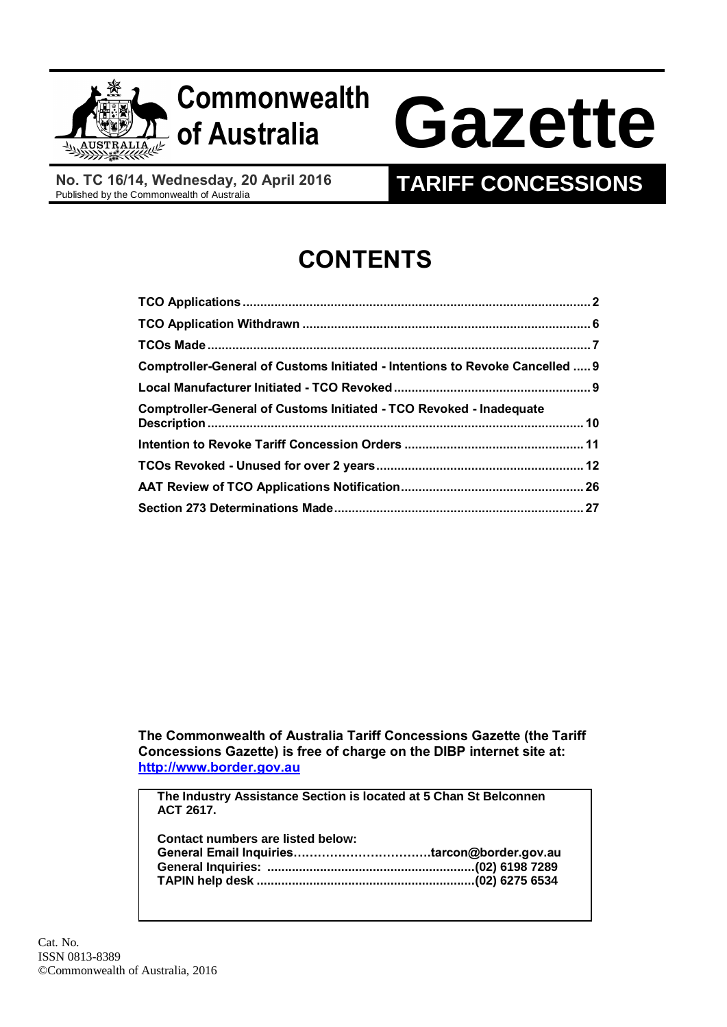

## **Commonwealth**

# **of Australia Gazette**

**No. TC 16/14, Wednesday, 20 April 2016**

### **TARIFF CONCESSIONS**

## **CONTENTS**

| Comptroller-General of Customs Initiated - Intentions to Revoke Cancelled  9 |  |
|------------------------------------------------------------------------------|--|
|                                                                              |  |
| <b>Comptroller-General of Customs Initiated - TCO Revoked - Inadequate</b>   |  |
|                                                                              |  |
|                                                                              |  |
|                                                                              |  |
|                                                                              |  |

**The Commonwealth of Australia Tariff Concessions Gazette (the Tariff Concessions Gazette) is free of charge on the DIBP internet site at: [http://www.border.gov.au](http://www.border.gov.au/)**

**The Industry Assistance Section is located at 5 Chan St Belconnen ACT 2617.**

| Contact numbers are listed below: |  |
|-----------------------------------|--|
|                                   |  |
|                                   |  |
|                                   |  |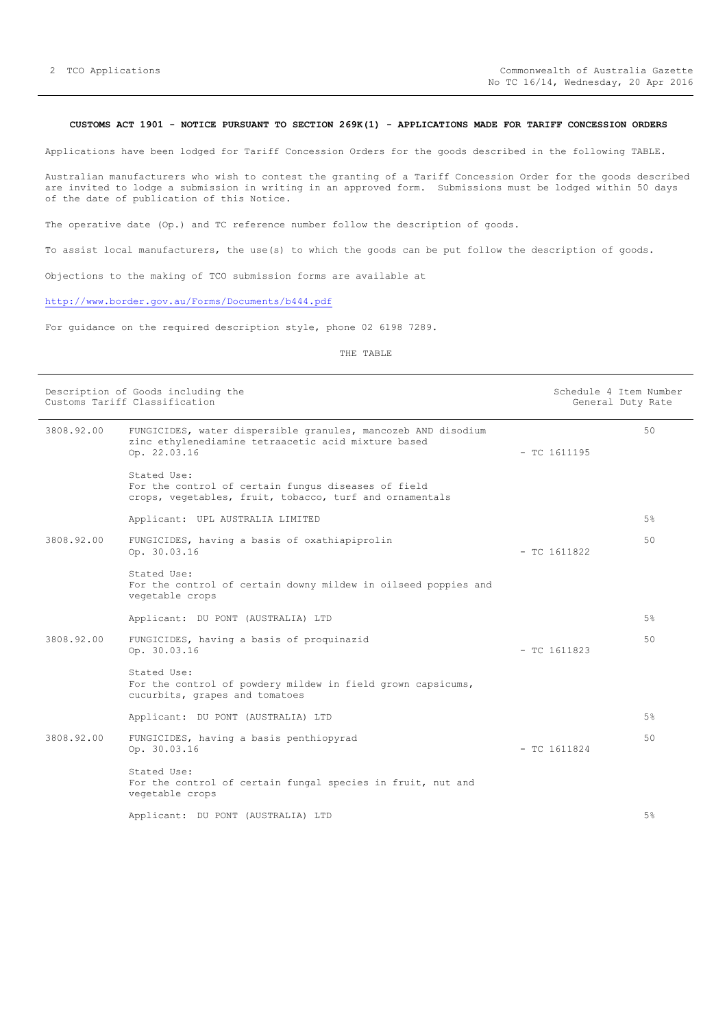#### <span id="page-1-0"></span>**CUSTOMS ACT 1901 - NOTICE PURSUANT TO SECTION 269K(1) - APPLICATIONS MADE FOR TARIFF CONCESSION ORDERS**

Applications have been lodged for Tariff Concession Orders for the goods described in the following TABLE.

Australian manufacturers who wish to contest the granting of a Tariff Concession Order for the goods described are invited to lodge a submission in writing in an approved form. Submissions must be lodged within 50 days of the date of publication of this Notice.

The operative date (Op.) and TC reference number follow the description of goods.

To assist local manufacturers, the use(s) to which the goods can be put follow the description of goods.

Objections to the making of TCO submission forms are available at

#### <http://www.border.gov.au/Forms/Documents/b444.pdf>

For guidance on the required description style, phone 02 6198 7289.

|            | Description of Goods including the<br>Customs Tariff Classification                                                                  |                | Schedule 4 Item Number<br>General Duty Rate |  |
|------------|--------------------------------------------------------------------------------------------------------------------------------------|----------------|---------------------------------------------|--|
| 3808.92.00 | FUNGICIDES, water dispersible granules, mancozeb AND disodium<br>zinc ethylenediamine tetraacetic acid mixture based<br>Op. 22.03.16 | $-$ TC 1611195 | 50                                          |  |
|            | Stated Use:<br>For the control of certain fungus diseases of field<br>crops, vegetables, fruit, tobacco, turf and ornamentals        |                |                                             |  |
|            | Applicant: UPL AUSTRALIA LIMITED                                                                                                     |                | 5%                                          |  |
| 3808.92.00 | FUNGICIDES, having a basis of oxathiapiprolin<br>Op. 30.03.16                                                                        | $-$ TC 1611822 | 50                                          |  |
|            | Stated Use:<br>For the control of certain downy mildew in oilseed poppies and<br>vegetable crops                                     |                |                                             |  |
|            | Applicant: DU PONT (AUSTRALIA) LTD                                                                                                   |                | 5%                                          |  |
| 3808.92.00 | FUNGICIDES, having a basis of proquinazid<br>Op. 30.03.16                                                                            | $-$ TC 1611823 | 50                                          |  |
|            | Stated Use:<br>For the control of powdery mildew in field grown capsicums,<br>cucurbits, grapes and tomatoes                         |                |                                             |  |
|            | Applicant: DU PONT (AUSTRALIA) LTD                                                                                                   |                | 5%                                          |  |
| 3808.92.00 | FUNGICIDES, having a basis penthiopyrad<br>Op. 30.03.16                                                                              | $-$ TC 1611824 | 50                                          |  |
|            | Stated Use:<br>For the control of certain fungal species in fruit, nut and<br>vegetable crops                                        |                |                                             |  |
|            | Applicant: DU PONT (AUSTRALIA) LTD                                                                                                   |                | 5%                                          |  |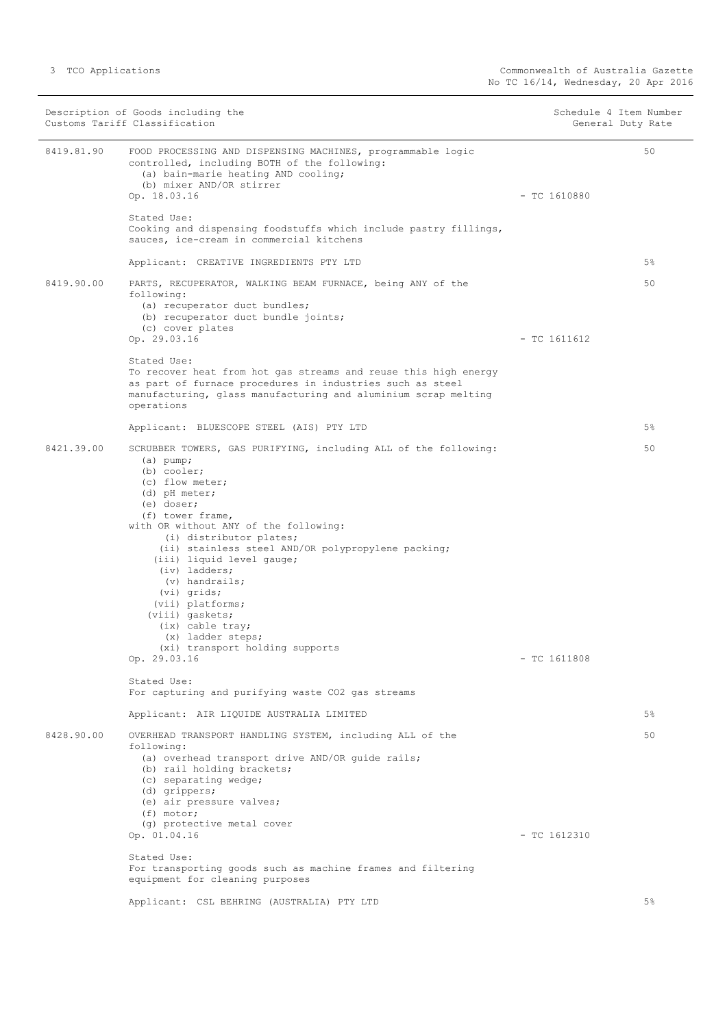|            | Description of Goods including the<br>Customs Tariff Classification                                                                                                                                                                                                                                                                                                                                                                                                                                               | Schedule 4 Item Number | General Duty Rate |
|------------|-------------------------------------------------------------------------------------------------------------------------------------------------------------------------------------------------------------------------------------------------------------------------------------------------------------------------------------------------------------------------------------------------------------------------------------------------------------------------------------------------------------------|------------------------|-------------------|
| 8419.81.90 | FOOD PROCESSING AND DISPENSING MACHINES, programmable logic<br>controlled, including BOTH of the following:<br>(a) bain-marie heating AND cooling;<br>(b) mixer AND/OR stirrer<br>Op. 18.03.16                                                                                                                                                                                                                                                                                                                    | $-$ TC 1610880         | 50                |
|            | Stated Use:<br>Cooking and dispensing foodstuffs which include pastry fillings,<br>sauces, ice-cream in commercial kitchens                                                                                                                                                                                                                                                                                                                                                                                       |                        |                   |
|            | Applicant: CREATIVE INGREDIENTS PTY LTD                                                                                                                                                                                                                                                                                                                                                                                                                                                                           |                        | 5%                |
| 8419.90.00 | PARTS, RECUPERATOR, WALKING BEAM FURNACE, being ANY of the<br>following:<br>(a) recuperator duct bundles;<br>(b) recuperator duct bundle joints;<br>(c) cover plates<br>Op. 29.03.16                                                                                                                                                                                                                                                                                                                              | $-$ TC 1611612         | 50                |
|            | Stated Use:<br>To recover heat from hot gas streams and reuse this high energy<br>as part of furnace procedures in industries such as steel<br>manufacturing, glass manufacturing and aluminium scrap melting<br>operations                                                                                                                                                                                                                                                                                       |                        |                   |
|            | Applicant: BLUESCOPE STEEL (AIS) PTY LTD                                                                                                                                                                                                                                                                                                                                                                                                                                                                          |                        | 5%                |
| 8421.39.00 | SCRUBBER TOWERS, GAS PURIFYING, including ALL of the following:<br>$(a)$ pump;<br>(b) cooler;<br>(c) flow meter;<br>(d) pH meter;<br>(e) doser;<br>(f) tower frame,<br>with OR without ANY of the following:<br>(i) distributor plates;<br>(ii) stainless steel AND/OR polypropylene packing;<br>(iii) liquid level gauge;<br>(iv) ladders;<br>(v) handrails;<br>$(vi)$ grids;<br>(vii) platforms;<br>(viii) gaskets;<br>(ix) cable tray;<br>(x) ladder steps;<br>(xi) transport holding supports<br>Op. 29.03.16 | $-$ TC 1611808         | 50                |
|            | Stated Use:<br>For capturing and purifying waste CO2 gas streams                                                                                                                                                                                                                                                                                                                                                                                                                                                  |                        |                   |
|            | Applicant: AIR LIQUIDE AUSTRALIA LIMITED                                                                                                                                                                                                                                                                                                                                                                                                                                                                          |                        | 5%                |
| 8428.90.00 | OVERHEAD TRANSPORT HANDLING SYSTEM, including ALL of the<br>following:<br>(a) overhead transport drive AND/OR guide rails;<br>(b) rail holding brackets;<br>(c) separating wedge;<br>(d) grippers;<br>(e) air pressure valves;<br>$(f)$ motor;                                                                                                                                                                                                                                                                    |                        | 50                |
|            | (g) protective metal cover<br>Op. 01.04.16                                                                                                                                                                                                                                                                                                                                                                                                                                                                        | $-$ TC 1612310         |                   |
|            | Stated Use:<br>For transporting goods such as machine frames and filtering<br>equipment for cleaning purposes                                                                                                                                                                                                                                                                                                                                                                                                     |                        |                   |
|            | Applicant: CSL BEHRING (AUSTRALIA) PTY LTD                                                                                                                                                                                                                                                                                                                                                                                                                                                                        |                        | 5%                |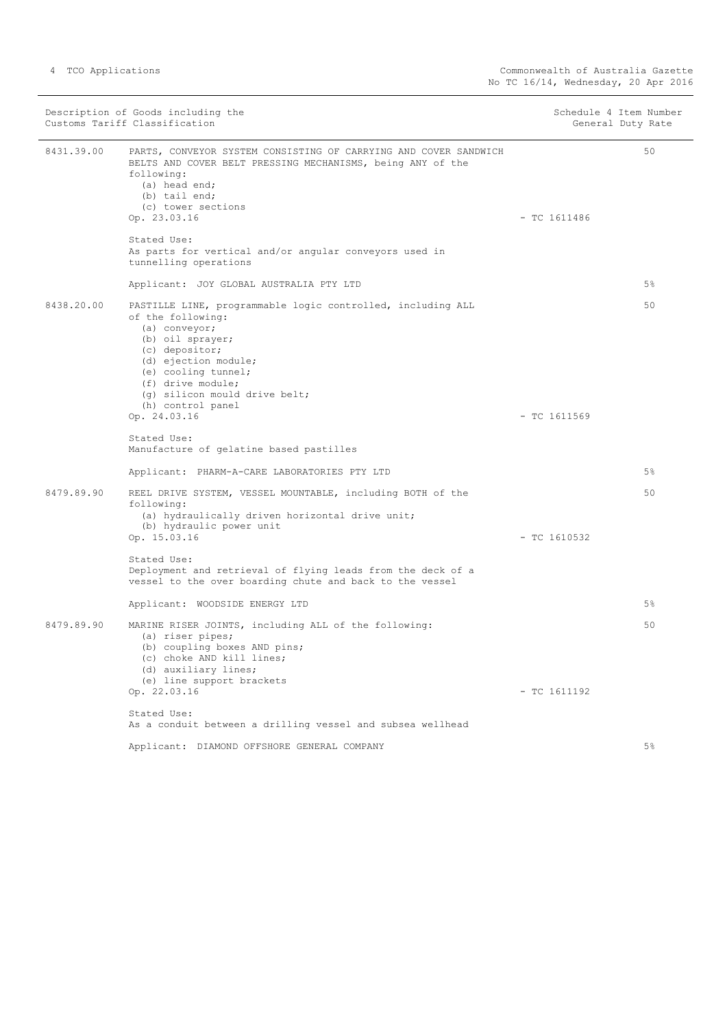| Description of Goods including the<br>Customs Tariff Classification |                                                                                                                                                                                                                                                                                   | Schedule 4 Item Number<br>General Duty Rate |       |
|---------------------------------------------------------------------|-----------------------------------------------------------------------------------------------------------------------------------------------------------------------------------------------------------------------------------------------------------------------------------|---------------------------------------------|-------|
| 8431.39.00                                                          | PARTS, CONVEYOR SYSTEM CONSISTING OF CARRYING AND COVER SANDWICH<br>BELTS AND COVER BELT PRESSING MECHANISMS, being ANY of the<br>following:<br>(a) head end;<br>(b) tail end;<br>(c) tower sections<br>Op. 23.03.16                                                              | $-$ TC 1611486                              | 50    |
|                                                                     | Stated Use:<br>As parts for vertical and/or angular conveyors used in<br>tunnelling operations                                                                                                                                                                                    |                                             |       |
|                                                                     | Applicant: JOY GLOBAL AUSTRALIA PTY LTD                                                                                                                                                                                                                                           |                                             | 5%    |
| 8438.20.00                                                          | PASTILLE LINE, programmable logic controlled, including ALL<br>of the following:<br>(a) conveyor;<br>(b) oil sprayer;<br>(c) depositor;<br>(d) ejection module;<br>(e) cooling tunnel;<br>(f) drive module;<br>(g) silicon mould drive belt;<br>(h) control panel<br>Op. 24.03.16 | $-$ TC 1611569                              | 50    |
|                                                                     | Stated Use:<br>Manufacture of gelatine based pastilles                                                                                                                                                                                                                            |                                             |       |
|                                                                     | Applicant: PHARM-A-CARE LABORATORIES PTY LTD                                                                                                                                                                                                                                      |                                             | 5%    |
| 8479.89.90                                                          | REEL DRIVE SYSTEM, VESSEL MOUNTABLE, including BOTH of the<br>following:<br>(a) hydraulically driven horizontal drive unit;<br>(b) hydraulic power unit<br>Op. 15.03.16                                                                                                           | $-$ TC 1610532                              | 50    |
|                                                                     | Stated Use:<br>Deployment and retrieval of flying leads from the deck of a<br>vessel to the over boarding chute and back to the vessel                                                                                                                                            |                                             |       |
|                                                                     | Applicant: WOODSIDE ENERGY LTD                                                                                                                                                                                                                                                    |                                             | 5%    |
| 8479.89.90                                                          | MARINE RISER JOINTS, including ALL of the following:<br>(a) riser pipes;<br>(b) coupling boxes AND pins;<br>(c) choke AND kill lines;<br>(d) auxiliary lines;<br>(e) line support brackets                                                                                        |                                             | 50    |
|                                                                     | Op. 22.03.16<br>Stated Use:                                                                                                                                                                                                                                                       | $-$ TC 1611192                              |       |
|                                                                     | As a conduit between a drilling vessel and subsea wellhead                                                                                                                                                                                                                        |                                             |       |
|                                                                     | Applicant: DIAMOND OFFSHORE GENERAL COMPANY                                                                                                                                                                                                                                       |                                             | $5\%$ |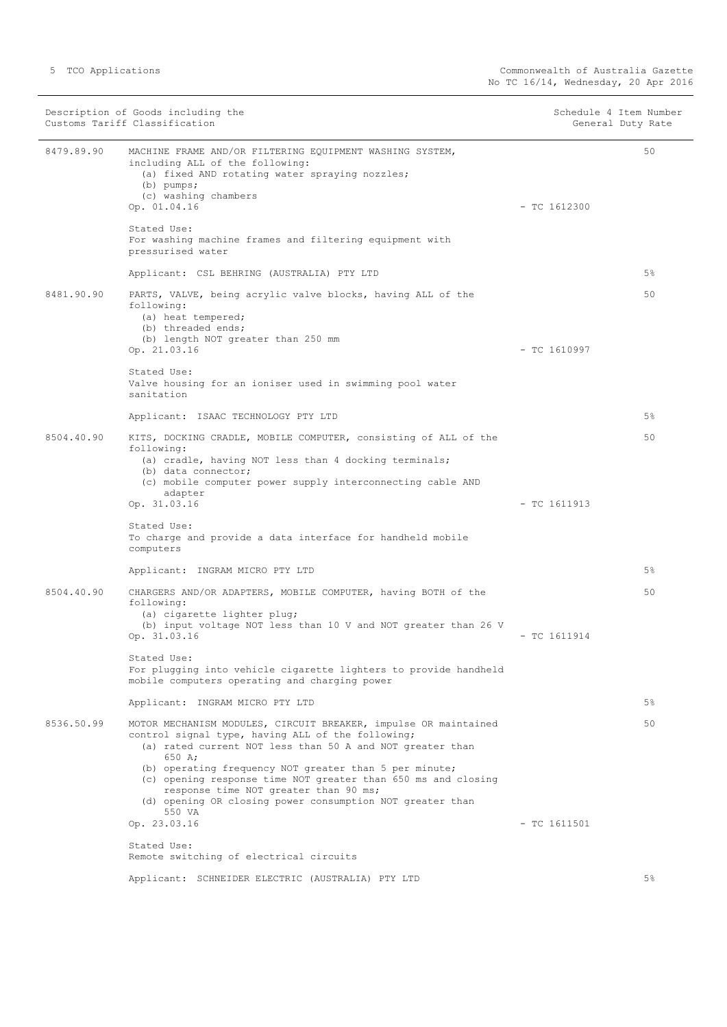|            | Description of Goods including the<br>Customs Tariff Classification                                                                                                                                                                                                                                                    |                | Schedule 4 Item Number<br>General Duty Rate |
|------------|------------------------------------------------------------------------------------------------------------------------------------------------------------------------------------------------------------------------------------------------------------------------------------------------------------------------|----------------|---------------------------------------------|
| 8479.89.90 | MACHINE FRAME AND/OR FILTERING EQUIPMENT WASHING SYSTEM,<br>including ALL of the following:<br>(a) fixed AND rotating water spraying nozzles;<br>$(b)$ pumps;<br>(c) washing chambers<br>Op. 01.04.16                                                                                                                  | $-$ TC 1612300 | 50                                          |
|            | Stated Use:<br>For washing machine frames and filtering equipment with<br>pressurised water                                                                                                                                                                                                                            |                |                                             |
|            | Applicant: CSL BEHRING (AUSTRALIA) PTY LTD                                                                                                                                                                                                                                                                             |                | 5%                                          |
| 8481.90.90 | PARTS, VALVE, being acrylic valve blocks, having ALL of the<br>following:<br>(a) heat tempered;<br>(b) threaded ends;<br>(b) length NOT greater than 250 mm<br>Op. 21.03.16                                                                                                                                            | $-$ TC 1610997 | 50                                          |
|            | Stated Use:<br>Valve housing for an ioniser used in swimming pool water<br>sanitation                                                                                                                                                                                                                                  |                |                                             |
|            | Applicant: ISAAC TECHNOLOGY PTY LTD                                                                                                                                                                                                                                                                                    |                | 5%                                          |
| 8504.40.90 | KITS, DOCKING CRADLE, MOBILE COMPUTER, consisting of ALL of the<br>following:<br>(a) cradle, having NOT less than 4 docking terminals;<br>(b) data connector;<br>(c) mobile computer power supply interconnecting cable AND                                                                                            |                | 50                                          |
|            | adapter<br>Op. 31.03.16                                                                                                                                                                                                                                                                                                | $-$ TC 1611913 |                                             |
|            | Stated Use:<br>To charge and provide a data interface for handheld mobile<br>computers                                                                                                                                                                                                                                 |                |                                             |
|            | Applicant: INGRAM MICRO PTY LTD                                                                                                                                                                                                                                                                                        |                | 5%                                          |
| 8504.40.90 | CHARGERS AND/OR ADAPTERS, MOBILE COMPUTER, having BOTH of the<br>following:<br>(a) cigarette lighter plug;<br>(b) input voltage NOT less than 10 V and NOT greater than 26 V<br>Op. 31.03.16                                                                                                                           | $-$ TC 1611914 | 50                                          |
|            | Stated Use:<br>For plugging into vehicle cigarette lighters to provide handheld<br>mobile computers operating and charging power                                                                                                                                                                                       |                |                                             |
|            | Applicant: INGRAM MICRO PTY LTD                                                                                                                                                                                                                                                                                        |                | $5\%$                                       |
| 8536.50.99 | MOTOR MECHANISM MODULES, CIRCUIT BREAKER, impulse OR maintained<br>control signal type, having ALL of the following;<br>(a) rated current NOT less than 50 A and NOT greater than<br>650 A.<br>(b) operating frequency NOT greater than 5 per minute;<br>(c) opening response time NOT greater than 650 ms and closing |                | 50                                          |
|            | response time NOT greater than 90 ms;<br>(d) opening OR closing power consumption NOT greater than<br>550 VA<br>Op. 23.03.16                                                                                                                                                                                           | $-$ TC 1611501 |                                             |
|            | Stated Use:<br>Remote switching of electrical circuits                                                                                                                                                                                                                                                                 |                |                                             |
|            | Applicant: SCHNEIDER ELECTRIC (AUSTRALIA) PTY LTD                                                                                                                                                                                                                                                                      |                | 5%                                          |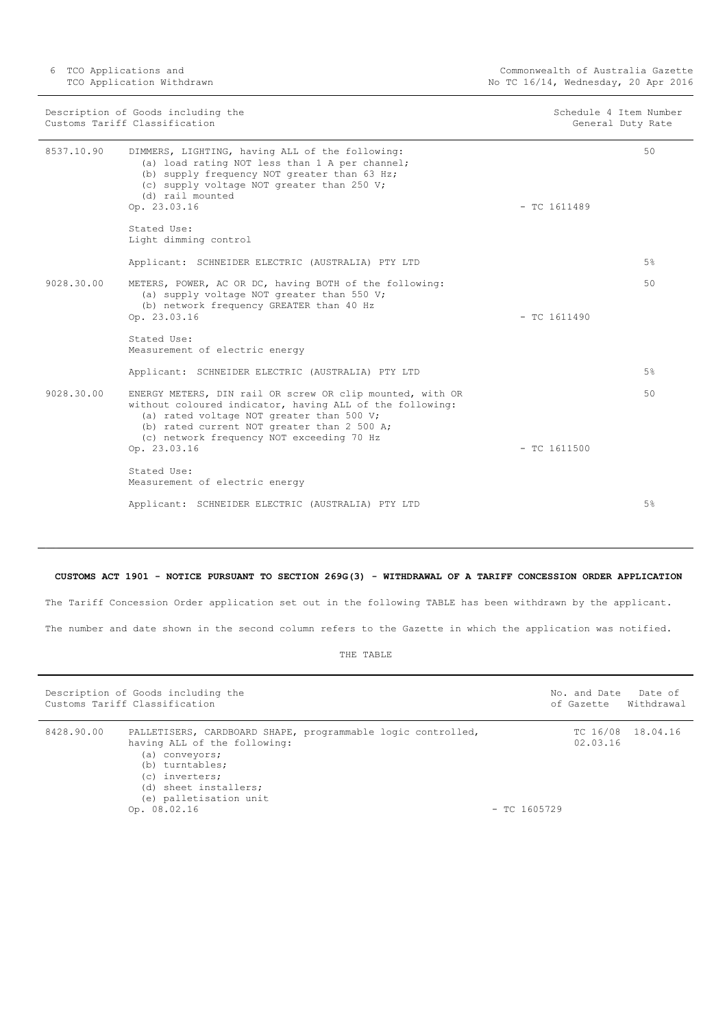6 TCO Applications and TCO Application Withdrawn

|            | Description of Goods including the<br>Customs Tariff Classification                                                                                                                                                                                            |                | Schedule 4 Item Number<br>General Duty Rate |
|------------|----------------------------------------------------------------------------------------------------------------------------------------------------------------------------------------------------------------------------------------------------------------|----------------|---------------------------------------------|
| 8537.10.90 | DIMMERS, LIGHTING, having ALL of the following:<br>(a) load rating NOT less than 1 A per channel;<br>(b) supply frequency NOT greater than 63 Hz;<br>(c) supply voltage NOT greater than 250 V;<br>(d) rail mounted                                            |                | 50                                          |
|            | Op. 23.03.16                                                                                                                                                                                                                                                   | $-$ TC 1611489 |                                             |
|            | Stated Use:<br>Light dimming control                                                                                                                                                                                                                           |                |                                             |
|            | Applicant: SCHNEIDER ELECTRIC (AUSTRALIA) PTY LTD                                                                                                                                                                                                              |                | 5%                                          |
| 9028.30.00 | METERS, POWER, AC OR DC, having BOTH of the following:<br>(a) supply voltage NOT greater than 550 V;<br>(b) network frequency GREATER than 40 Hz                                                                                                               |                | 50                                          |
|            | Op. 23.03.16                                                                                                                                                                                                                                                   | $-$ TC 1611490 |                                             |
|            | Stated Use:<br>Measurement of electric energy                                                                                                                                                                                                                  |                |                                             |
|            | Applicant: SCHNEIDER ELECTRIC (AUSTRALIA) PTY LTD                                                                                                                                                                                                              |                | 5%                                          |
| 9028.30.00 | ENERGY METERS, DIN rail OR screw OR clip mounted, with OR<br>without coloured indicator, having ALL of the following:<br>(a) rated voltage NOT greater than 500 V;<br>(b) rated current NOT greater than 2 500 A;<br>(c) network frequency NOT exceeding 70 Hz |                | 50                                          |
|            | Op. 23.03.16                                                                                                                                                                                                                                                   | $-$ TC 1611500 |                                             |
|            | Stated Use:<br>Measurement of electric energy                                                                                                                                                                                                                  |                |                                             |
|            | Applicant: SCHNEIDER ELECTRIC (AUSTRALIA) PTY LTD                                                                                                                                                                                                              |                | 5%                                          |

#### <span id="page-5-0"></span>**CUSTOMS ACT 1901 - NOTICE PURSUANT TO SECTION 269G(3) - WITHDRAWAL OF A TARIFF CONCESSION ORDER APPLICATION**

The Tariff Concession Order application set out in the following TABLE has been withdrawn by the applicant. The number and date shown in the second column refers to the Gazette in which the application was notified.

|            | Description of Goods including the<br>Customs Tariff Classification                                                                                                                                                    |                | of Gazette           | No. and Date Date of<br>Withdrawal |
|------------|------------------------------------------------------------------------------------------------------------------------------------------------------------------------------------------------------------------------|----------------|----------------------|------------------------------------|
| 8428.90.00 | PALLETISERS, CARDBOARD SHAPE, programmable logic controlled,<br>having ALL of the following:<br>(a) conveyors;<br>(b) turntables;<br>(c) inverters;<br>(d) sheet installers;<br>(e) palletisation unit<br>Op. 08.02.16 | $-$ TC 1605729 | TC 16/08<br>02.03.16 | 18.04.16                           |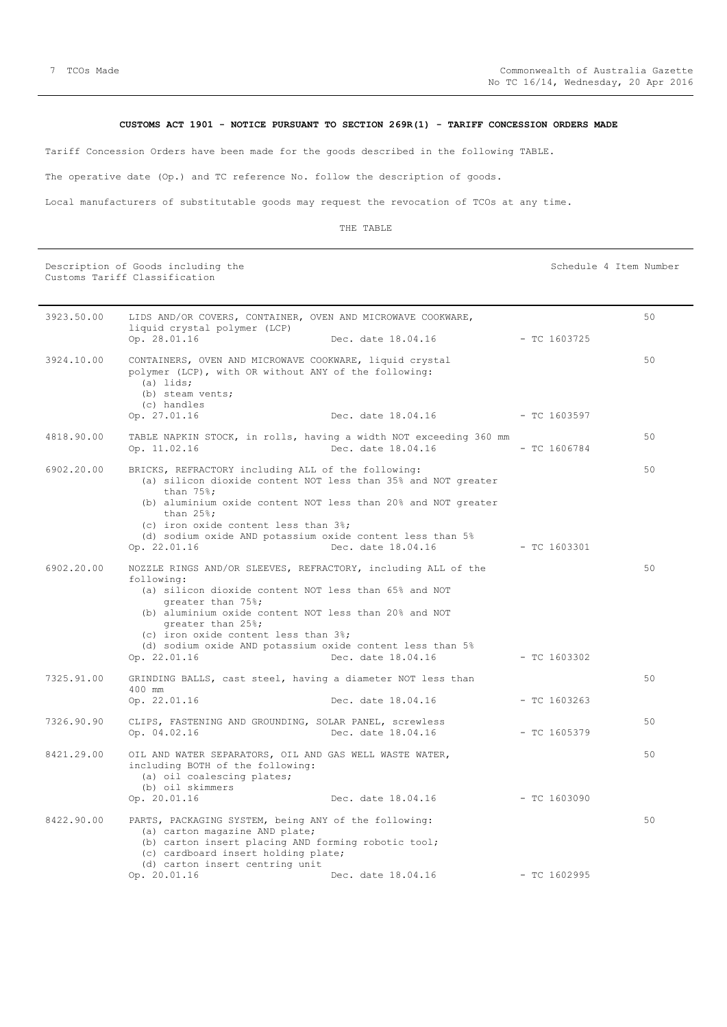#### **CUSTOMS ACT 1901 - NOTICE PURSUANT TO SECTION 269R(1) - TARIFF CONCESSION ORDERS MADE**

<span id="page-6-0"></span>Tariff Concession Orders have been made for the goods described in the following TABLE.

The operative date (Op.) and TC reference No. follow the description of goods.

Local manufacturers of substitutable goods may request the revocation of TCOs at any time.

#### THE TABLE

Description of Goods including the Schedule 4 Item Number Schedule 4 Item Number Customs Tariff Classification

| 3923.50.00 | LIDS AND/OR COVERS, CONTAINER, OVEN AND MICROWAVE COOKWARE,<br>liquid crystal polymer (LCP)                                                                                                                                                                                                                                                                  |                    |                | 50 |
|------------|--------------------------------------------------------------------------------------------------------------------------------------------------------------------------------------------------------------------------------------------------------------------------------------------------------------------------------------------------------------|--------------------|----------------|----|
|            | Op. 28.01.16                                                                                                                                                                                                                                                                                                                                                 | Dec. date 18.04.16 | $-$ TC 1603725 |    |
| 3924.10.00 | CONTAINERS, OVEN AND MICROWAVE COOKWARE, liquid crystal<br>polymer (LCP), with OR without ANY of the following:<br>(a) lids:<br>(b) steam vents;<br>(c) handles                                                                                                                                                                                              |                    |                | 50 |
|            | Op. 27.01.16                                                                                                                                                                                                                                                                                                                                                 | Dec. date 18.04.16 | $-$ TC 1603597 |    |
| 4818.90.00 | TABLE NAPKIN STOCK, in rolls, having a width NOT exceeding 360 mm<br>Op. 11.02.16                                                                                                                                                                                                                                                                            | Dec. date 18.04.16 | $-$ TC 1606784 | 50 |
| 6902.20.00 | BRICKS, REFRACTORY including ALL of the following:<br>(a) silicon dioxide content NOT less than 35% and NOT greater<br>than $75$ %;<br>(b) aluminium oxide content NOT less than 20% and NOT greater<br>than $25$ %;<br>(c) iron oxide content less than 3%;<br>(d) sodium oxide AND potassium oxide content less than 5%<br>Op. 22.01.16                    | Dec. date 18.04.16 | $-$ TC 1603301 | 50 |
| 6902.20.00 | NOZZLE RINGS AND/OR SLEEVES, REFRACTORY, including ALL of the<br>following:<br>(a) silicon dioxide content NOT less than 65% and NOT<br>greater than 75%;<br>(b) aluminium oxide content NOT less than 20% and NOT<br>greater than 25%;<br>(c) iron oxide content less than 3%;<br>(d) sodium oxide AND potassium oxide content less than 5%<br>Op. 22.01.16 | Dec. date 18.04.16 | $-$ TC 1603302 | 50 |
| 7325.91.00 | GRINDING BALLS, cast steel, having a diameter NOT less than<br>400 mm<br>Op. 22.01.16                                                                                                                                                                                                                                                                        | Dec. date 18.04.16 | $-$ TC 1603263 | 50 |
| 7326.90.90 | CLIPS, FASTENING AND GROUNDING, SOLAR PANEL, screwless<br>Op. 04.02.16                                                                                                                                                                                                                                                                                       | Dec. date 18.04.16 | $-$ TC 1605379 | 50 |
| 8421.29.00 | OIL AND WATER SEPARATORS, OIL AND GAS WELL WASTE WATER,<br>including BOTH of the following:<br>(a) oil coalescing plates;<br>(b) oil skimmers<br>Op. 20.01.16                                                                                                                                                                                                | Dec. date 18.04.16 | - TC 1603090   | 50 |
| 8422.90.00 | PARTS, PACKAGING SYSTEM, being ANY of the following:<br>(a) carton magazine AND plate;<br>(b) carton insert placing AND forming robotic tool;<br>(c) cardboard insert holding plate;<br>(d) carton insert centring unit<br>Op. 20.01.16                                                                                                                      | Dec. date 18.04.16 | $-$ TC 1602995 | 50 |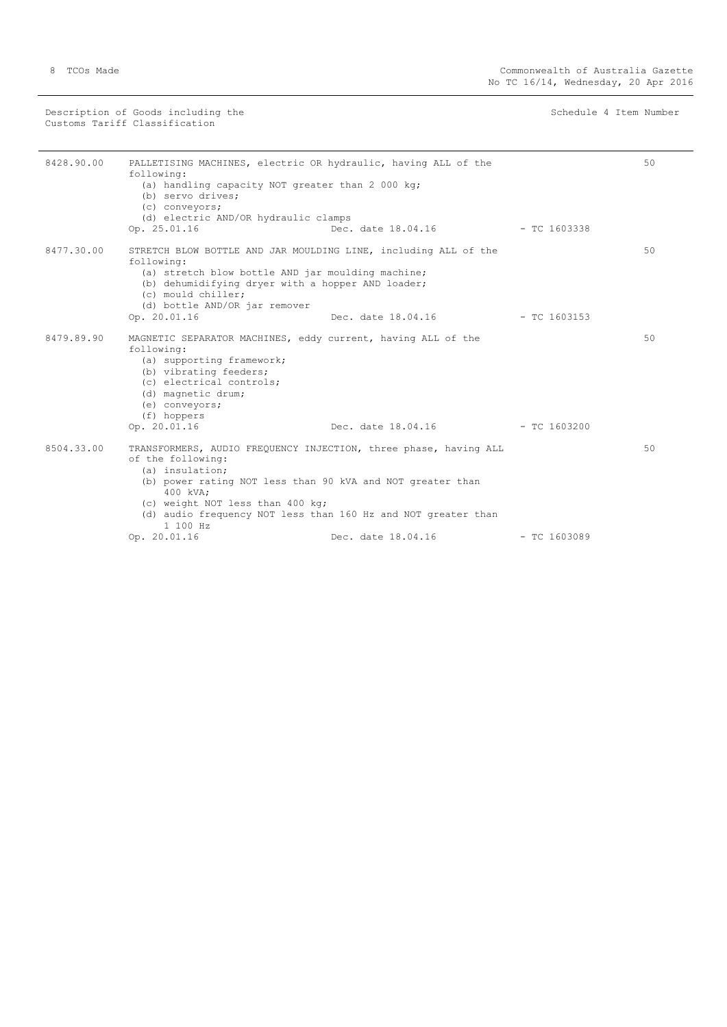Description of Goods including the Schedule 4 Item Number (Schedule 4 Item Number Customs Tariff Classification

| 8428.90.00 | PALLETISING MACHINES, electric OR hydraulic, having ALL of the<br>following:<br>(a) handling capacity NOT greater than 2 000 kg;<br>(b) servo drives:<br>(c) conveyors;<br>(d) electric AND/OR hydraulic clamps<br>Op. 25.01.16                                                                                    | Dec. date 18.04.16 - TC 1603338   |                | 50 |
|------------|--------------------------------------------------------------------------------------------------------------------------------------------------------------------------------------------------------------------------------------------------------------------------------------------------------------------|-----------------------------------|----------------|----|
| 8477.30.00 | STRETCH BLOW BOTTLE AND JAR MOULDING LINE, including ALL of the<br>following:<br>(a) stretch blow bottle AND jar moulding machine;<br>(b) dehumidifying dryer with a hopper AND loader;<br>(c) mould chiller;<br>(d) bottle AND/OR jar remover<br>Op. 20.01.16                                                     | Dec. date $18.04.16$ - TC 1603153 |                | 50 |
| 8479.89.90 | MAGNETIC SEPARATOR MACHINES, eddy current, having ALL of the<br>following:<br>(a) supporting framework;<br>(b) vibrating feeders;<br>(c) electrical controls;<br>(d) magnetic drum;<br>(e) conveyors;<br>(f) hoppers<br>Op. 20.01.16                                                                               | Dec. date $18.04.16$ - TC 1603200 |                | 50 |
| 8504.33.00 | TRANSFORMERS, AUDIO FREQUENCY INJECTION, three phase, having ALL<br>of the following:<br>(a) insulation;<br>(b) power rating NOT less than 90 kVA and NOT greater than<br>400 kVA:<br>(c) weight NOT less than 400 kg;<br>(d) audio frequency NOT less than 160 Hz and NOT greater than<br>1100 Hz<br>Op. 20.01.16 | Dec. date 18.04.16                | $-$ TC 1603089 | 50 |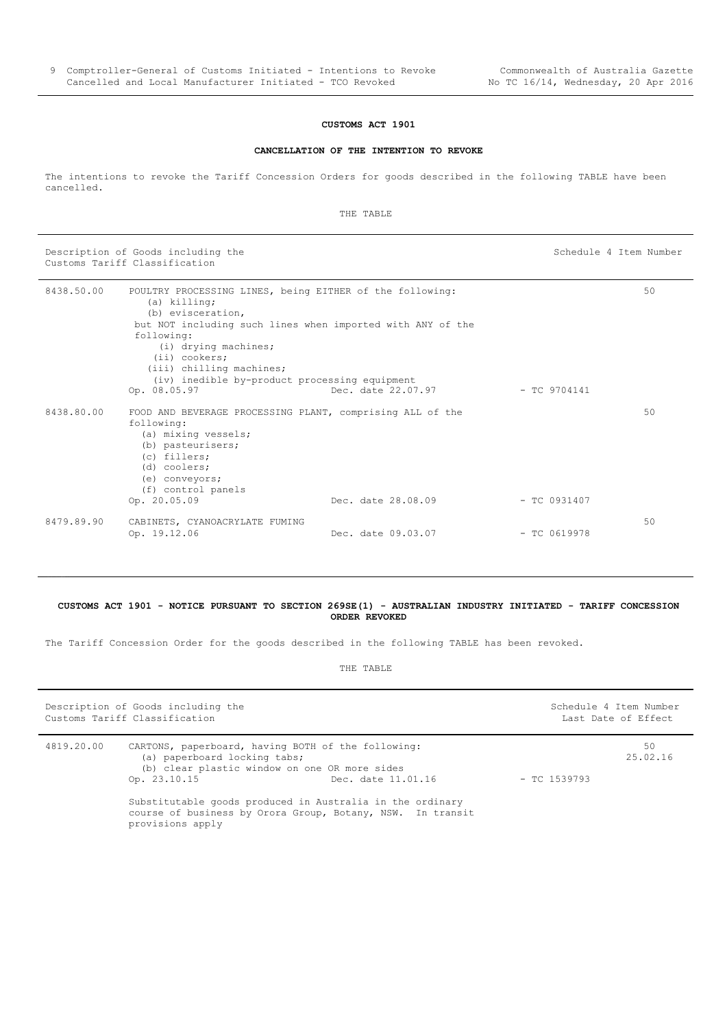#### **CANCELLATION OF THE INTENTION TO REVOKE**

<span id="page-8-0"></span>The intentions to revoke the Tariff Concession Orders for goods described in the following TABLE have been cancelled.

THE TABLE

Description of Goods including the Schedule 4 Item Number Schedule 4 Item Number Customs Tariff Classification

| 8438.50.00 | POULTRY PROCESSING LINES, being EITHER of the following:<br>(a) killing;<br>(b) evisceration,<br>but NOT including such lines when imported with ANY of the<br>following:<br>(i) drying machines;<br>$(i)$ cookers;<br>(iii) chilling machines;<br>(iv) inedible by-product processing equipment<br>Op. 08.05.97 | Dec. date 22.07.97 | $-$ TC 9704141 | 50 |
|------------|------------------------------------------------------------------------------------------------------------------------------------------------------------------------------------------------------------------------------------------------------------------------------------------------------------------|--------------------|----------------|----|
| 8438.80.00 | FOOD AND BEVERAGE PROCESSING PLANT, comprising ALL of the<br>following:<br>(a) mixing vessels;<br>(b) pasteurisers;<br>(c) fillers;<br>(d) coolers;<br>(e) conveyors;<br>(f) control panels<br>Op. 20.05.09                                                                                                      | Dec. date 28.08.09 | $-$ TC 0931407 | 50 |
| 8479.89.90 | CABINETS, CYANOACRYLATE FUMING<br>Op. 19.12.06                                                                                                                                                                                                                                                                   | Dec. date 09.03.07 | $-$ TC 0619978 | 50 |

#### <span id="page-8-1"></span>**CUSTOMS ACT 1901 - NOTICE PURSUANT TO SECTION 269SE(1) - AUSTRALIAN INDUSTRY INITIATED - TARIFF CONCESSION ORDER REVOKED**

The Tariff Concession Order for the goods described in the following TABLE has been revoked.

|            | Description of Goods including the<br>Customs Tariff Classification                                                                                                                                                                                                                                |                    |                | Schedule 4 Item Number<br>Last Date of Effect |
|------------|----------------------------------------------------------------------------------------------------------------------------------------------------------------------------------------------------------------------------------------------------------------------------------------------------|--------------------|----------------|-----------------------------------------------|
| 4819.20.00 | CARTONS, paperboard, having BOTH of the following:<br>(a) paperboard locking tabs;<br>(b) clear plastic window on one OR more sides<br>Op. 23.10.15<br>Substitutable goods produced in Australia in the ordinary<br>course of business by Orora Group, Botany, NSW. In transit<br>provisions apply | Dec. date 11.01.16 | $-$ TC 1539793 | 50<br>25.02.16                                |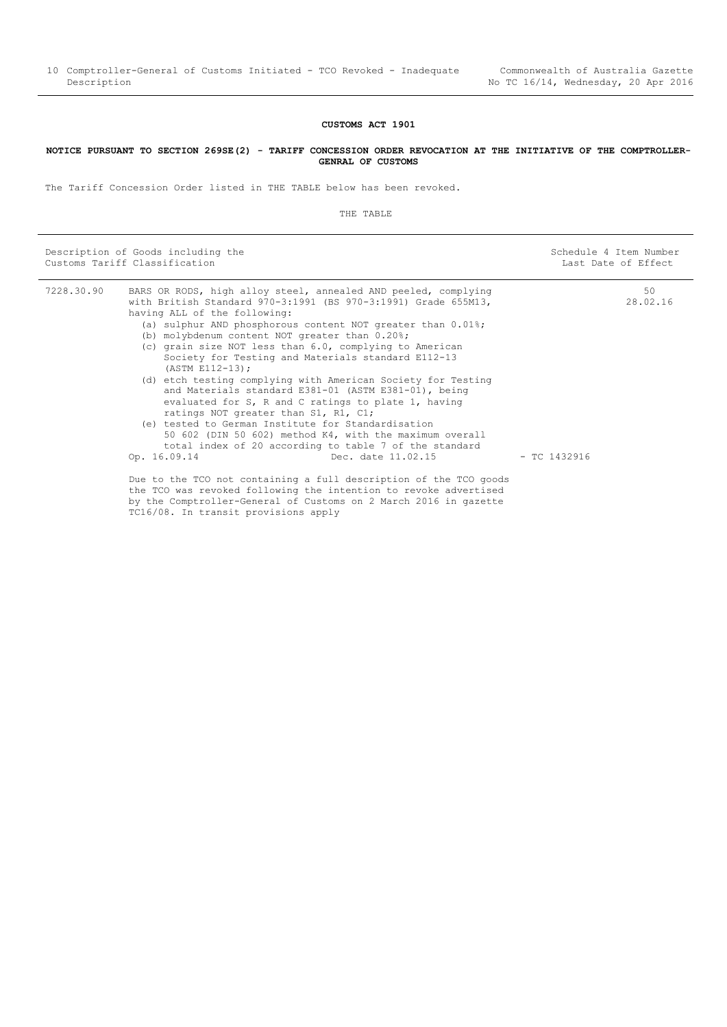#### <span id="page-9-0"></span>**NOTICE PURSUANT TO SECTION 269SE(2) - TARIFF CONCESSION ORDER REVOCATION AT THE INITIATIVE OF THE COMPTROLLER-GENRAL OF CUSTOMS**

The Tariff Concession Order listed in THE TABLE below has been revoked.

 $\overline{a}$ 

|            | Description of Goods including the<br>Customs Tariff Classification                                                                                                                                                                                                                                                                                                                                                                                                                                                                                                                                                                                                                                                                                                                                                                     |                    |                | Schedule 4 Item Number<br>Last Date of Effect |
|------------|-----------------------------------------------------------------------------------------------------------------------------------------------------------------------------------------------------------------------------------------------------------------------------------------------------------------------------------------------------------------------------------------------------------------------------------------------------------------------------------------------------------------------------------------------------------------------------------------------------------------------------------------------------------------------------------------------------------------------------------------------------------------------------------------------------------------------------------------|--------------------|----------------|-----------------------------------------------|
| 7228.30.90 | BARS OR RODS, high alloy steel, annealed AND peeled, complying<br>with British Standard 970-3:1991 (BS 970-3:1991) Grade 655M13,<br>having ALL of the following:<br>(a) sulphur AND phosphorous content NOT greater than 0.01%;<br>(b) molybdenum content NOT greater than 0.20%;<br>(c) grain size NOT less than 6.0, complying to American<br>Society for Testing and Materials standard E112-13<br>(ASTM E112-13);<br>(d) etch testing complying with American Society for Testing<br>and Materials standard E381-01 (ASTM E381-01), being<br>evaluated for S, R and C ratings to plate 1, having<br>ratings NOT greater than S1, R1, C1;<br>(e) tested to German Institute for Standardisation<br>50 602 (DIN 50 602) method K4, with the maximum overall<br>total index of 20 according to table 7 of the standard<br>Op. 16.09.14 | Dec. date 11.02.15 | $-$ TC 1432916 | 50<br>28.02.16                                |
|            | Due to the TCO not containing a full description of the TCO goods<br>the TCO was revoked following the intention to revoke advertised<br>by the Comptroller-General of Customs on 2 March 2016 in gazette<br>TC16/08. In transit provisions apply                                                                                                                                                                                                                                                                                                                                                                                                                                                                                                                                                                                       |                    |                |                                               |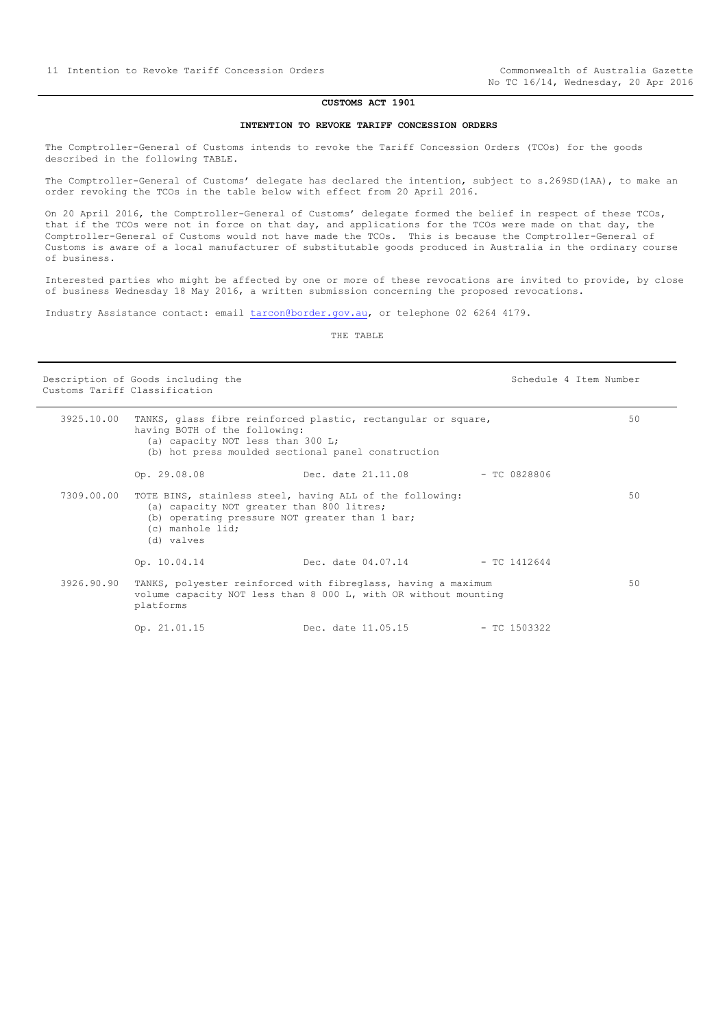#### **INTENTION TO REVOKE TARIFF CONCESSION ORDERS**

<span id="page-10-0"></span>The Comptroller-General of Customs intends to revoke the Tariff Concession Orders (TCOs) for the goods described in the following TABLE.

The Comptroller-General of Customs' delegate has declared the intention, subject to s.269SD(1AA), to make an order revoking the TCOs in the table below with effect from 20 April 2016.

On 20 April 2016, the Comptroller-General of Customs' delegate formed the belief in respect of these TCOs, that if the TCOs were not in force on that day, and applications for the TCOs were made on that day, the Comptroller-General of Customs would not have made the TCOs. This is because the Comptroller-General of Customs is aware of a local manufacturer of substitutable goods produced in Australia in the ordinary course of business.

Interested parties who might be affected by one or more of these revocations are invited to provide, by close of business Wednesday 18 May 2016, a written submission concerning the proposed revocations.

Industry Assistance contact: email [tarcon@border.gov.au,](mailto:tarcon@border.gov.au) or telephone 02 6264 4179.

THE TABLE

Customs Tariff Classification

Description of Goods including the Schedule 4 Item Number

|            | having BOTH of the following:<br>(a) capacity NOT less than 300 L;                                                            | 3925.10.00 TANKS, glass fibre reinforced plastic, rectangular or square,<br>(b) hot press moulded sectional panel construction   |                | 50 |
|------------|-------------------------------------------------------------------------------------------------------------------------------|----------------------------------------------------------------------------------------------------------------------------------|----------------|----|
|            | Op. 29.08.08                                                                                                                  | Dec. date 21.11.08                                                                                                               | $-$ TC 0828806 |    |
|            | (a) capacity NOT greater than 800 litres;<br>(b) operating pressure NOT greater than 1 bar;<br>(c) manhole lid;<br>(d) valves | 7309.00.00 TOTE BINS, stainless steel, having ALL of the following:                                                              |                | 50 |
|            | Op. 10.04.14                                                                                                                  | Dec. date 04.07.14                                                                                                               | $-$ TC 1412644 |    |
| 3926.90.90 | platforms                                                                                                                     | TANKS, polyester reinforced with fibreglass, having a maximum<br>volume capacity NOT less than 8 000 L, with OR without mounting |                | 50 |
|            | Op. 21.01.15                                                                                                                  | Dec. date 11.05.15                                                                                                               | - TC 1503322   |    |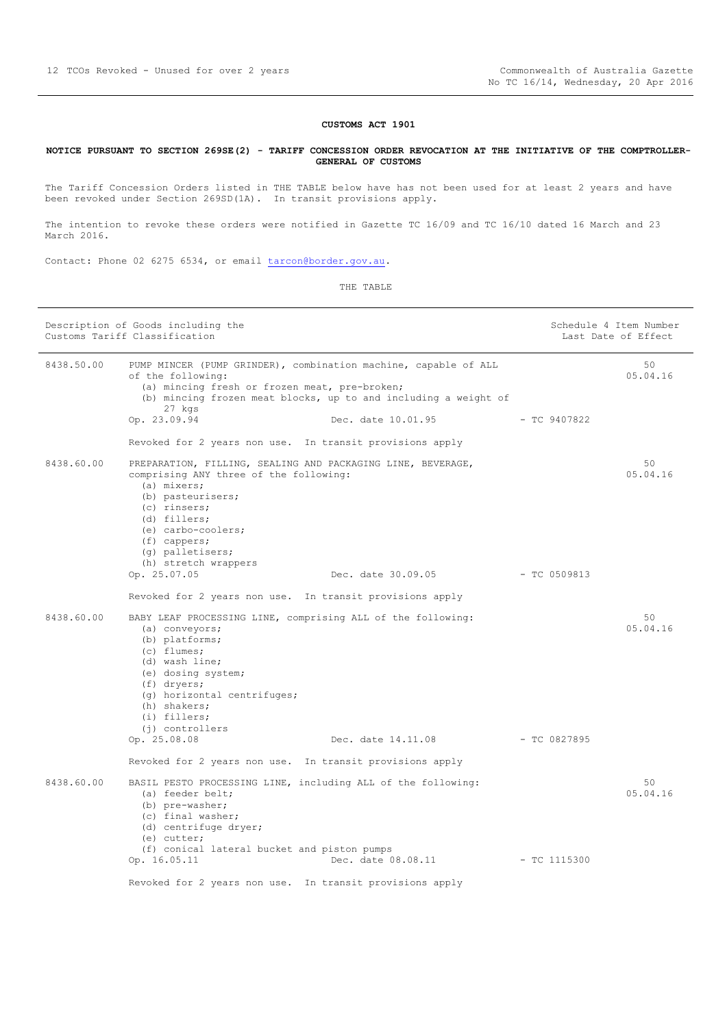#### <span id="page-11-0"></span>**NOTICE PURSUANT TO SECTION 269SE(2) - TARIFF CONCESSION ORDER REVOCATION AT THE INITIATIVE OF THE COMPTROLLER-GENERAL OF CUSTOMS**

The Tariff Concession Orders listed in THE TABLE below have has not been used for at least 2 years and have been revoked under Section 269SD(1A). In transit provisions apply.

The intention to revoke these orders were notified in Gazette TC 16/09 and TC 16/10 dated 16 March and 23 March 2016.

Contact: Phone 02 6275 6534, or email [tarcon@border.gov.au.](mailto:tarcon@border.gov.au)

|            | Description of Goods including the<br>Customs Tariff Classification                                                                                                                                                                                         |                                 |                | Schedule 4 Item Number<br>Last Date of Effect |
|------------|-------------------------------------------------------------------------------------------------------------------------------------------------------------------------------------------------------------------------------------------------------------|---------------------------------|----------------|-----------------------------------------------|
| 8438.50.00 | PUMP MINCER (PUMP GRINDER), combination machine, capable of ALL<br>of the following:<br>(a) mincing fresh or frozen meat, pre-broken;<br>(b) mincing frozen meat blocks, up to and including a weight of<br>27 kgs<br>Op. 23.09.94                          | Dec. date 10.01.95              | - TC 9407822   | 50<br>05.04.16                                |
|            | Revoked for 2 years non use. In transit provisions apply                                                                                                                                                                                                    |                                 |                |                                               |
| 8438.60.00 | PREPARATION, FILLING, SEALING AND PACKAGING LINE, BEVERAGE,<br>comprising ANY three of the following:<br>(a) mixers;<br>(b) pasteurisers;<br>(c) rinsers;<br>(d) fillers;<br>(e) carbo-coolers;<br>$(f)$ cappers;<br>(q) palletisers;                       |                                 |                | 50<br>05.04.16                                |
|            | (h) stretch wrappers<br>Op. 25.07.05                                                                                                                                                                                                                        | Dec. date 30.09.05              | - TC 0509813   |                                               |
|            | Revoked for 2 years non use. In transit provisions apply                                                                                                                                                                                                    |                                 |                |                                               |
| 8438.60.00 | BABY LEAF PROCESSING LINE, comprising ALL of the following:<br>(a) conveyors;<br>(b) platforms;<br>$(c)$ flumes;<br>(d) wash line;<br>(e) dosing system;<br>$(f)$ dryers;<br>(g) horizontal centrifuges;<br>(h) shakers;<br>(i) fillers;<br>(j) controllers |                                 |                | 50<br>05.04.16                                |
|            | Op. 25.08.08                                                                                                                                                                                                                                                | Dec. date 14.11.08 - TC 0827895 |                |                                               |
|            | Revoked for 2 years non use. In transit provisions apply                                                                                                                                                                                                    |                                 |                |                                               |
| 8438.60.00 | BASIL PESTO PROCESSING LINE, including ALL of the following:<br>(a) feeder belt;<br>(b) pre-washer;<br>(c) final washer;<br>(d) centrifuge dryer;<br>(e) cutter;                                                                                            |                                 |                | 50<br>05.04.16                                |
|            | (f) conical lateral bucket and piston pumps<br>Op. 16.05.11                                                                                                                                                                                                 | Dec. date 08.08.11              | $-$ TC 1115300 |                                               |
|            | Revoked for 2 years non use. In transit provisions apply                                                                                                                                                                                                    |                                 |                |                                               |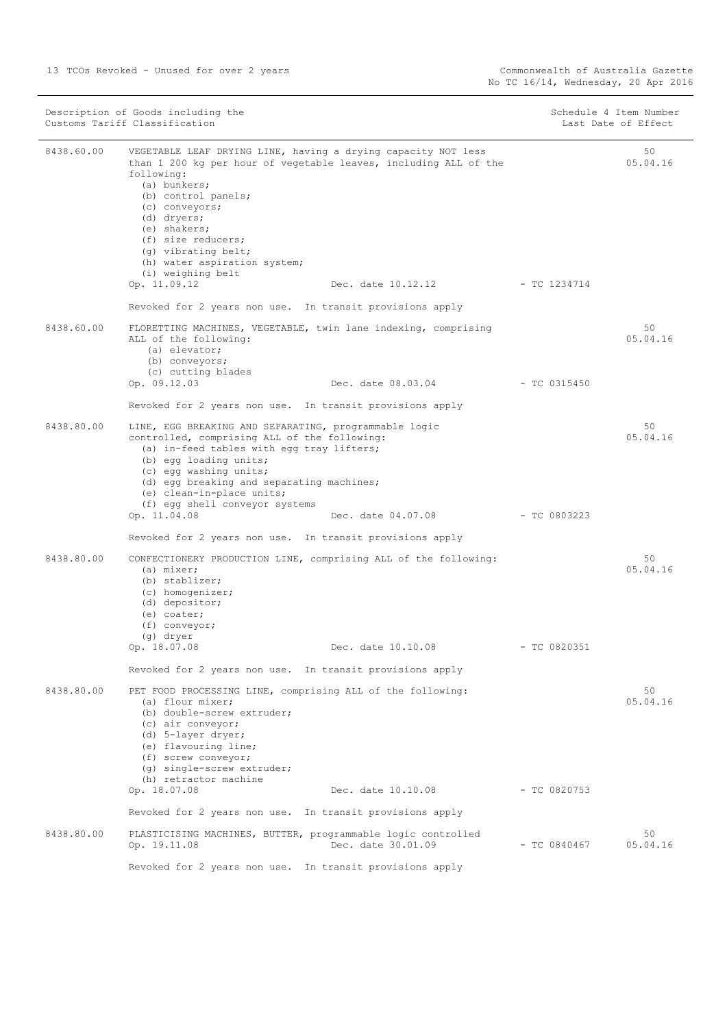| Description of Goods including the<br>Customs Tariff Classification |                                                                                                                                                                                                                                                                                                                                                           | Schedule 4 Item Number<br>Last Date of Effect |                |                 |
|---------------------------------------------------------------------|-----------------------------------------------------------------------------------------------------------------------------------------------------------------------------------------------------------------------------------------------------------------------------------------------------------------------------------------------------------|-----------------------------------------------|----------------|-----------------|
| 8438.60.00                                                          | VEGETABLE LEAF DRYING LINE, having a drying capacity NOT less<br>than 1 200 kg per hour of vegetable leaves, including ALL of the<br>following:<br>(a) bunkers;<br>(b) control panels;<br>(c) conveyors;<br>(d) dryers;<br>(e) shakers;<br>(f) size reducers;<br>(g) vibrating belt;<br>(h) water aspiration system;<br>(i) weighing belt<br>Op. 11.09.12 | Dec. date 10.12.12 - TC 1234714               |                | 50<br>05.04.16  |
|                                                                     | Revoked for 2 years non use. In transit provisions apply                                                                                                                                                                                                                                                                                                  |                                               |                |                 |
| 8438.60.00                                                          | FLORETTING MACHINES, VEGETABLE, twin lane indexing, comprising<br>ALL of the following:<br>(a) elevator;<br>(b) conveyors;<br>(c) cutting blades                                                                                                                                                                                                          |                                               |                | 50<br>05.04.16  |
|                                                                     | Op. 09.12.03                                                                                                                                                                                                                                                                                                                                              | Dec. date 08.03.04                            | - TC 0315450   |                 |
|                                                                     | Revoked for 2 years non use. In transit provisions apply                                                                                                                                                                                                                                                                                                  |                                               |                |                 |
| 8438.80.00                                                          | LINE, EGG BREAKING AND SEPARATING, programmable logic<br>controlled, comprising ALL of the following:<br>(a) in-feed tables with egg tray lifters;<br>(b) egg loading units;<br>(c) egg washing units;<br>(d) egg breaking and separating machines;<br>(e) clean-in-place units;<br>(f) egg shell conveyor systems                                        |                                               |                | 50<br>0.5.04.16 |
|                                                                     | Op. 11.04.08                                                                                                                                                                                                                                                                                                                                              | Dec. date 04.07.08                            | - TC 0803223   |                 |
|                                                                     | Revoked for 2 years non use. In transit provisions apply                                                                                                                                                                                                                                                                                                  |                                               |                |                 |
| 8438.80.00                                                          | CONFECTIONERY PRODUCTION LINE, comprising ALL of the following:<br>(a) mixer;<br>(b) stablizer;<br>(c) homogenizer;<br>(d) depositor;<br>(e) coater;<br>$(f)$ conveyor;<br>(g) dryer<br>Op. 18.07.08                                                                                                                                                      | Dec. date 10.10.08                            | $-$ TC 0820351 | 50<br>05.04.16  |
|                                                                     | Revoked for 2 years non use. In transit provisions apply                                                                                                                                                                                                                                                                                                  |                                               |                |                 |
| 8438.80.00                                                          | PET FOOD PROCESSING LINE, comprising ALL of the following:<br>(a) flour mixer;<br>(b) double-screw extruder;<br>(c) air conveyor;<br>(d) 5-layer dryer;<br>(e) flavouring line;<br>(f) screw conveyor;<br>(q) single-screw extruder;<br>(h) retractor machine                                                                                             |                                               |                | 50<br>05.04.16  |
|                                                                     | Op. 18.07.08                                                                                                                                                                                                                                                                                                                                              | Dec. date 10.10.08                            | $-$ TC 0820753 |                 |
|                                                                     | Revoked for 2 years non use. In transit provisions apply                                                                                                                                                                                                                                                                                                  |                                               |                |                 |
| 8438.80.00                                                          | PLASTICISING MACHINES, BUTTER, programmable logic controlled<br>Op. 19.11.08                                                                                                                                                                                                                                                                              | Dec. date 30.01.09                            | $-$ TC 0840467 | 50<br>05.04.16  |

Revoked for 2 years non use. In transit provisions apply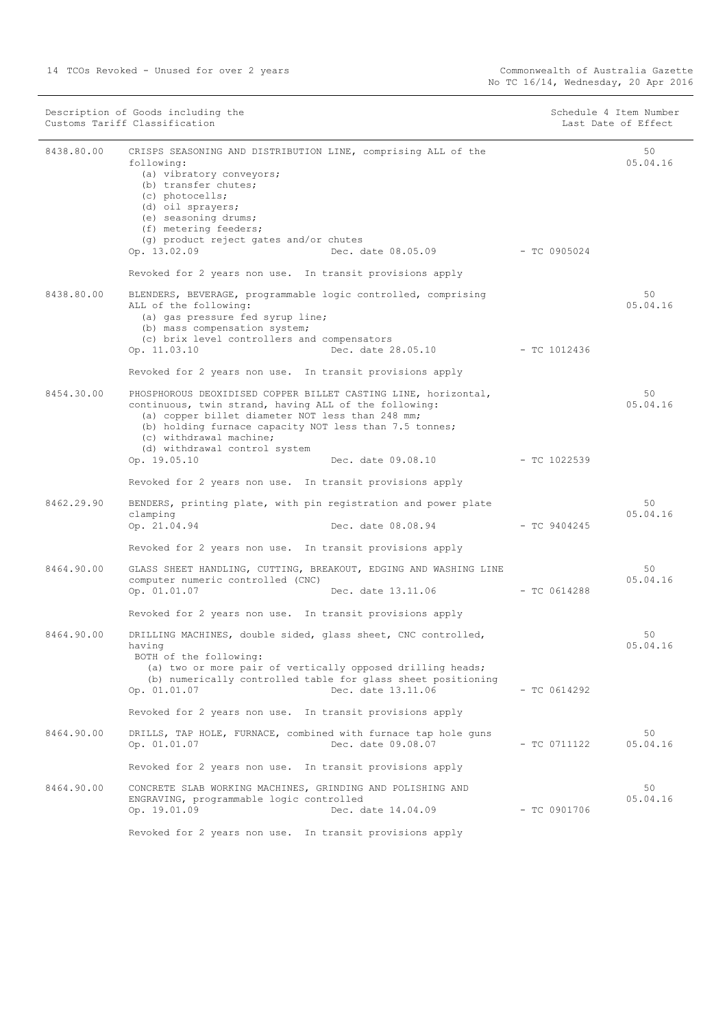| Description of Goods including the<br>Customs Tariff Classification |                                                                                                                                                                                                                                                                                                                                                                                                     | Schedule 4 Item Number<br>Last Date of Effect |                 |
|---------------------------------------------------------------------|-----------------------------------------------------------------------------------------------------------------------------------------------------------------------------------------------------------------------------------------------------------------------------------------------------------------------------------------------------------------------------------------------------|-----------------------------------------------|-----------------|
| 8438.80.00                                                          | CRISPS SEASONING AND DISTRIBUTION LINE, comprising ALL of the<br>following:<br>(a) vibratory conveyors;<br>(b) transfer chutes;<br>(c) photocells;<br>(d) oil sprayers;<br>(e) seasoning drums;<br>(f) metering feeders;<br>(q) product reject gates and/or chutes<br>Op. 13.02.09<br>Dec. date 08.05.09 - TC 0905024                                                                               |                                               | 50<br>05.04.16  |
|                                                                     | Revoked for 2 years non use. In transit provisions apply                                                                                                                                                                                                                                                                                                                                            |                                               |                 |
| 8438.80.00                                                          | BLENDERS, BEVERAGE, programmable logic controlled, comprising<br>ALL of the following:<br>(a) gas pressure fed syrup line;<br>(b) mass compensation system;<br>(c) brix level controllers and compensators                                                                                                                                                                                          |                                               | 50<br>05.04.16  |
|                                                                     | Dec. date 28.05.10<br>Op. 11.03.10                                                                                                                                                                                                                                                                                                                                                                  | $-$ TC 1012436                                |                 |
| 8454.30.00                                                          | Revoked for 2 years non use. In transit provisions apply<br>PHOSPHOROUS DEOXIDISED COPPER BILLET CASTING LINE, horizontal,<br>continuous, twin strand, having ALL of the following:<br>(a) copper billet diameter NOT less than 248 mm;<br>(b) holding furnace capacity NOT less than 7.5 tonnes;<br>(c) withdrawal machine;<br>(d) withdrawal control system<br>Op. 19.05.10<br>Dec. date 09.08.10 | $-$ TC 1022539                                | 50<br>0.5.04.16 |
|                                                                     |                                                                                                                                                                                                                                                                                                                                                                                                     |                                               |                 |
| 8462.29.90                                                          | Revoked for 2 years non use. In transit provisions apply<br>BENDERS, printing plate, with pin registration and power plate                                                                                                                                                                                                                                                                          |                                               | 50              |
|                                                                     | clamping<br>Op. 21.04.94<br>Dec. date 08.08.94                                                                                                                                                                                                                                                                                                                                                      | - TC 9404245                                  | 05.04.16        |
|                                                                     | Revoked for 2 years non use. In transit provisions apply                                                                                                                                                                                                                                                                                                                                            |                                               |                 |
| 8464.90.00                                                          | GLASS SHEET HANDLING, CUTTING, BREAKOUT, EDGING AND WASHING LINE<br>computer numeric controlled (CNC)<br>Dec. date 13.11.06<br>Op. 01.01.07                                                                                                                                                                                                                                                         | $-$ TC 0614288                                | 50<br>05.04.16  |
|                                                                     | Revoked for 2 years non use. In transit provisions apply                                                                                                                                                                                                                                                                                                                                            |                                               |                 |
| 8464.90.00                                                          | DRILLING MACHINES, double sided, glass sheet, CNC controlled,<br>having<br>BOTH of the following:<br>(a) two or more pair of vertically opposed drilling heads;<br>(b) numerically controlled table for glass sheet positioning<br>Op. 01.01.07<br>Dec. date 13.11.06                                                                                                                               | $-$ TC 0614292                                | 50<br>0.5.04.16 |
|                                                                     | Revoked for 2 years non use. In transit provisions apply                                                                                                                                                                                                                                                                                                                                            |                                               |                 |
| 8464.90.00                                                          | DRILLS, TAP HOLE, FURNACE, combined with furnace tap hole guns<br>Dec. date 09.08.07<br>Op. 01.01.07                                                                                                                                                                                                                                                                                                | $-$ TC 0711122                                | 50<br>05.04.16  |
|                                                                     | Revoked for 2 years non use. In transit provisions apply                                                                                                                                                                                                                                                                                                                                            |                                               |                 |
| 8464.90.00                                                          | CONCRETE SLAB WORKING MACHINES, GRINDING AND POLISHING AND<br>ENGRAVING, programmable logic controlled<br>Op. 19.01.09<br>Dec. date 14.04.09                                                                                                                                                                                                                                                        | $-$ TC 0901706                                | 50<br>05.04.16  |
|                                                                     | Revoked for 2 years non use. In transit provisions apply                                                                                                                                                                                                                                                                                                                                            |                                               |                 |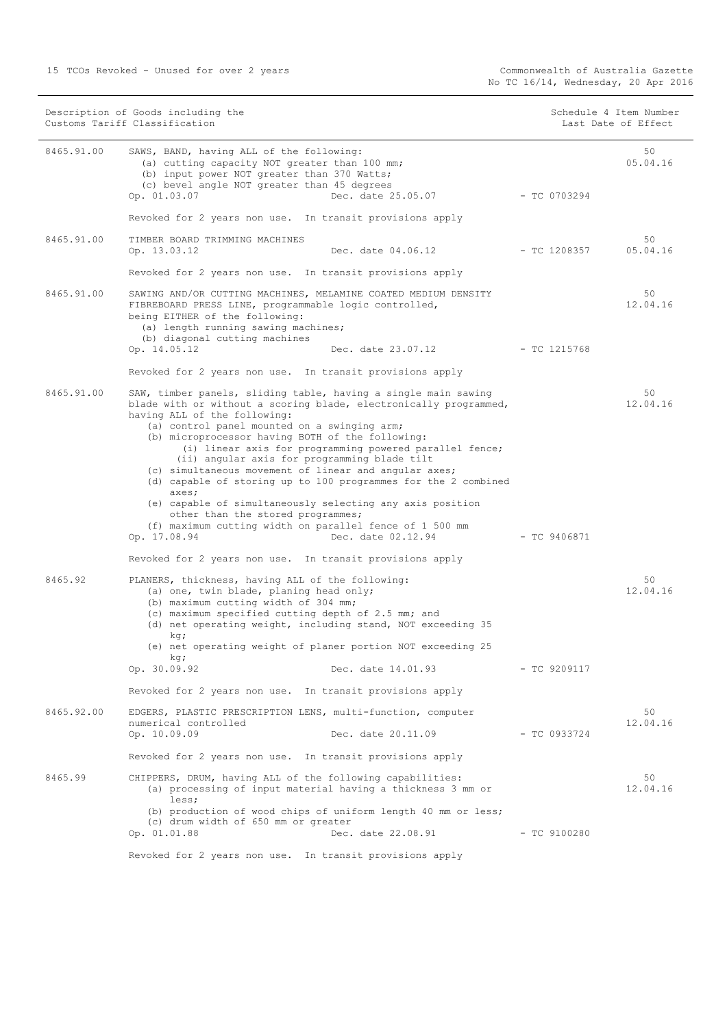15 TCOs Revoked - Unused for over 2 years Commonwealth of Australia Gazette

Description of Goods including the Schedule 4 Item Number (Schedule 4 Item Number Customs Tariff Classification and the control of the control of the control of Effect Date of Effect

| 8465.91.00            | SAWS, BAND, having ALL of the following:<br>(a) cutting capacity NOT greater than 100 mm;<br>(b) input power NOT greater than 370 Watts;<br>(c) bevel angle NOT greater than 45 degrees<br>Op. 01.03.07<br>Dec. date 25.05.07                                                                                                                                                                                                                                                                                                                                                                                                                                                                                                                                                                                                                                                                                                                                                      | $-$ TC 0703294 | 50<br>05.04.16                   |
|-----------------------|------------------------------------------------------------------------------------------------------------------------------------------------------------------------------------------------------------------------------------------------------------------------------------------------------------------------------------------------------------------------------------------------------------------------------------------------------------------------------------------------------------------------------------------------------------------------------------------------------------------------------------------------------------------------------------------------------------------------------------------------------------------------------------------------------------------------------------------------------------------------------------------------------------------------------------------------------------------------------------|----------------|----------------------------------|
|                       | Revoked for 2 years non use. In transit provisions apply                                                                                                                                                                                                                                                                                                                                                                                                                                                                                                                                                                                                                                                                                                                                                                                                                                                                                                                           |                |                                  |
| 8465.91.00            | TIMBER BOARD TRIMMING MACHINES<br>Op. 13.03.12<br>Dec. date 04.06.12                                                                                                                                                                                                                                                                                                                                                                                                                                                                                                                                                                                                                                                                                                                                                                                                                                                                                                               | - TC 1208357   | 50<br>05.04.16                   |
|                       | Revoked for 2 years non use. In transit provisions apply                                                                                                                                                                                                                                                                                                                                                                                                                                                                                                                                                                                                                                                                                                                                                                                                                                                                                                                           |                |                                  |
| 8465.91.00            | SAWING AND/OR CUTTING MACHINES, MELAMINE COATED MEDIUM DENSITY<br>FIBREBOARD PRESS LINE, programmable logic controlled,<br>being EITHER of the following:<br>(a) length running sawing machines;<br>(b) diagonal cutting machines                                                                                                                                                                                                                                                                                                                                                                                                                                                                                                                                                                                                                                                                                                                                                  |                | 50<br>12.04.16                   |
|                       | Dec. date 23.07.12 - TC 1215768<br>Op. 14.05.12                                                                                                                                                                                                                                                                                                                                                                                                                                                                                                                                                                                                                                                                                                                                                                                                                                                                                                                                    |                |                                  |
|                       | Revoked for 2 years non use. In transit provisions apply                                                                                                                                                                                                                                                                                                                                                                                                                                                                                                                                                                                                                                                                                                                                                                                                                                                                                                                           |                |                                  |
| 8465.91.00<br>8465.92 | SAW, timber panels, sliding table, having a single main sawing<br>blade with or without a scoring blade, electronically programmed,<br>having ALL of the following:<br>(a) control panel mounted on a swinging arm;<br>(b) microprocessor having BOTH of the following:<br>(i) linear axis for programming powered parallel fence;<br>(ii) angular axis for programming blade tilt<br>(c) simultaneous movement of linear and angular axes;<br>(d) capable of storing up to 100 programmes for the 2 combined<br>axes;<br>(e) capable of simultaneously selecting any axis position<br>other than the stored programmes;<br>(f) maximum cutting width on parallel fence of 1 500 mm<br>Dec. date 02.12.94<br>Op. 17.08.94<br>Revoked for 2 years non use. In transit provisions apply<br>PLANERS, thickness, having ALL of the following:<br>(a) one, twin blade, planing head only;<br>(b) maximum cutting width of 304 mm;<br>(c) maximum specified cutting depth of 2.5 mm; and | - TC 9406871   | 50<br>12.04.16<br>50<br>12.04.16 |
|                       | (d) net operating weight, including stand, NOT exceeding 35<br>kq;                                                                                                                                                                                                                                                                                                                                                                                                                                                                                                                                                                                                                                                                                                                                                                                                                                                                                                                 |                |                                  |
|                       | (e) net operating weight of planer portion NOT exceeding 25<br>kg;                                                                                                                                                                                                                                                                                                                                                                                                                                                                                                                                                                                                                                                                                                                                                                                                                                                                                                                 |                |                                  |
|                       | Op. 30.09.92<br>Dec. date 14.01.93                                                                                                                                                                                                                                                                                                                                                                                                                                                                                                                                                                                                                                                                                                                                                                                                                                                                                                                                                 | $-$ TC 9209117 |                                  |
|                       | Revoked for 2 years non use. In transit provisions apply                                                                                                                                                                                                                                                                                                                                                                                                                                                                                                                                                                                                                                                                                                                                                                                                                                                                                                                           |                |                                  |
| 8465.92.00            | EDGERS, PLASTIC PRESCRIPTION LENS, multi-function, computer<br>numerical controlled<br>Op. 10.09.09<br>Dec. date 20.11.09                                                                                                                                                                                                                                                                                                                                                                                                                                                                                                                                                                                                                                                                                                                                                                                                                                                          | $-TC$ 0933724  | 50<br>12.04.16                   |
|                       | Revoked for 2 years non use. In transit provisions apply                                                                                                                                                                                                                                                                                                                                                                                                                                                                                                                                                                                                                                                                                                                                                                                                                                                                                                                           |                |                                  |
| 8465.99               | CHIPPERS, DRUM, having ALL of the following capabilities:<br>(a) processing of input material having a thickness 3 mm or<br>less;<br>(b) production of wood chips of uniform length 40 mm or less;<br>(c) drum width of 650 mm or greater<br>Op. 01.01.88<br>Dec. date 22.08.91                                                                                                                                                                                                                                                                                                                                                                                                                                                                                                                                                                                                                                                                                                    | $-$ TC 9100280 | 50<br>12.04.16                   |
|                       |                                                                                                                                                                                                                                                                                                                                                                                                                                                                                                                                                                                                                                                                                                                                                                                                                                                                                                                                                                                    |                |                                  |

Revoked for 2 years non use. In transit provisions apply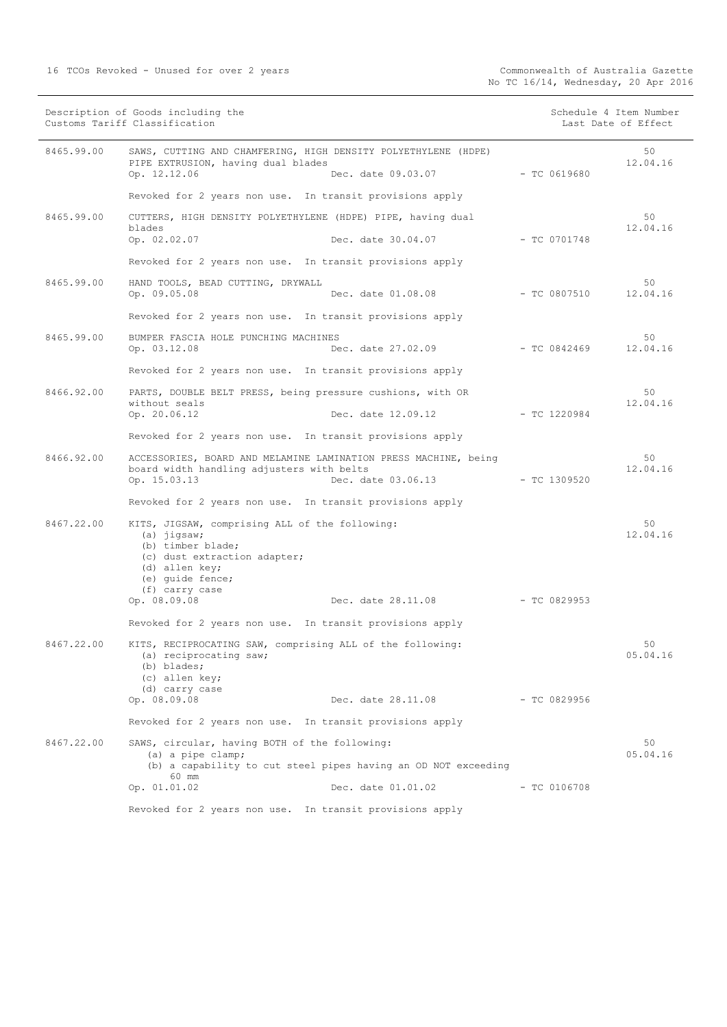16 TCOs Revoked - Unused for over 2 years

|            | Description of Goods including the<br>Customs Tariff Classification                                                                                                                                                |                | Schedule 4 Item Number<br>Last Date of Effect |
|------------|--------------------------------------------------------------------------------------------------------------------------------------------------------------------------------------------------------------------|----------------|-----------------------------------------------|
| 8465.99.00 | SAWS, CUTTING AND CHAMFERING, HIGH DENSITY POLYETHYLENE (HDPE)<br>PIPE EXTRUSION, having dual blades<br>Op. 12.12.06<br>Dec. date 09.03.07                                                                         | - TC 0619680   | 50<br>12.04.16                                |
|            | Revoked for 2 years non use. In transit provisions apply                                                                                                                                                           |                |                                               |
| 8465.99.00 | CUTTERS, HIGH DENSITY POLYETHYLENE (HDPE) PIPE, having dual<br>blades                                                                                                                                              |                | 50<br>12.04.16                                |
|            | Op. 02.02.07<br>Dec. date 30.04.07                                                                                                                                                                                 | $-$ TC 0701748 |                                               |
|            | Revoked for 2 years non use. In transit provisions apply                                                                                                                                                           |                |                                               |
| 8465.99.00 | HAND TOOLS, BEAD CUTTING, DRYWALL<br>Op. 09.05.08<br>Dec. date 01.08.08                                                                                                                                            | $-$ TC 0807510 | 50<br>12.04.16                                |
|            | Revoked for 2 years non use. In transit provisions apply                                                                                                                                                           |                |                                               |
| 8465.99.00 | BUMPER FASCIA HOLE PUNCHING MACHINES<br>Dec. date 27.02.09<br>Op. 03.12.08                                                                                                                                         | - TC 0842469   | 50<br>12.04.16                                |
|            | Revoked for 2 years non use. In transit provisions apply                                                                                                                                                           |                |                                               |
| 8466.92.00 | PARTS, DOUBLE BELT PRESS, being pressure cushions, with OR                                                                                                                                                         |                | 50                                            |
|            | without seals<br>Dec. date 12.09.12<br>Op. 20.06.12                                                                                                                                                                | $-$ TC 1220984 | 12.04.16                                      |
|            | Revoked for 2 years non use. In transit provisions apply                                                                                                                                                           |                |                                               |
| 8466.92.00 | ACCESSORIES, BOARD AND MELAMINE LAMINATION PRESS MACHINE, being<br>board width handling adjusters with belts<br>Op. 15.03.13<br>Dec. date 03.06.13                                                                 | $-$ TC 1309520 | 50<br>12.04.16                                |
|            | Revoked for 2 years non use. In transit provisions apply                                                                                                                                                           |                |                                               |
| 8467.22.00 | KITS, JIGSAW, comprising ALL of the following:<br>$(a)$ jigsaw;<br>(b) timber blade;<br>(c) dust extraction adapter;<br>(d) allen key;<br>(e) quide fence;<br>(f) carry case<br>Op. 08.09.08<br>Dec. date 28.11.08 | $-TC$ 0829953  | 50<br>12.04.16                                |
|            |                                                                                                                                                                                                                    |                |                                               |
|            | Revoked for 2 years non use. In transit provisions apply                                                                                                                                                           |                |                                               |
| 8467.22.00 | KITS, RECIPROCATING SAW, comprising ALL of the following:<br>(a) reciprocating saw;<br>(b) blades;<br>(c) allen key;                                                                                               |                | 50<br>05.04.16                                |
|            | (d) carry case<br>Op. 08.09.08<br>Dec. date 28.11.08                                                                                                                                                               | - TC 0829956   |                                               |
|            | Revoked for 2 years non use. In transit provisions apply                                                                                                                                                           |                |                                               |
| 8467.22.00 | SAWS, circular, having BOTH of the following:                                                                                                                                                                      |                | 50                                            |
|            | (a) a pipe clamp;<br>(b) a capability to cut steel pipes having an OD NOT exceeding<br>60 mm                                                                                                                       |                | 05.04.16                                      |
|            | Dec. date 01.01.02<br>Op. 01.01.02                                                                                                                                                                                 | $- TC 0106708$ |                                               |
|            | Revoked for 2 years non use. In transit provisions apply                                                                                                                                                           |                |                                               |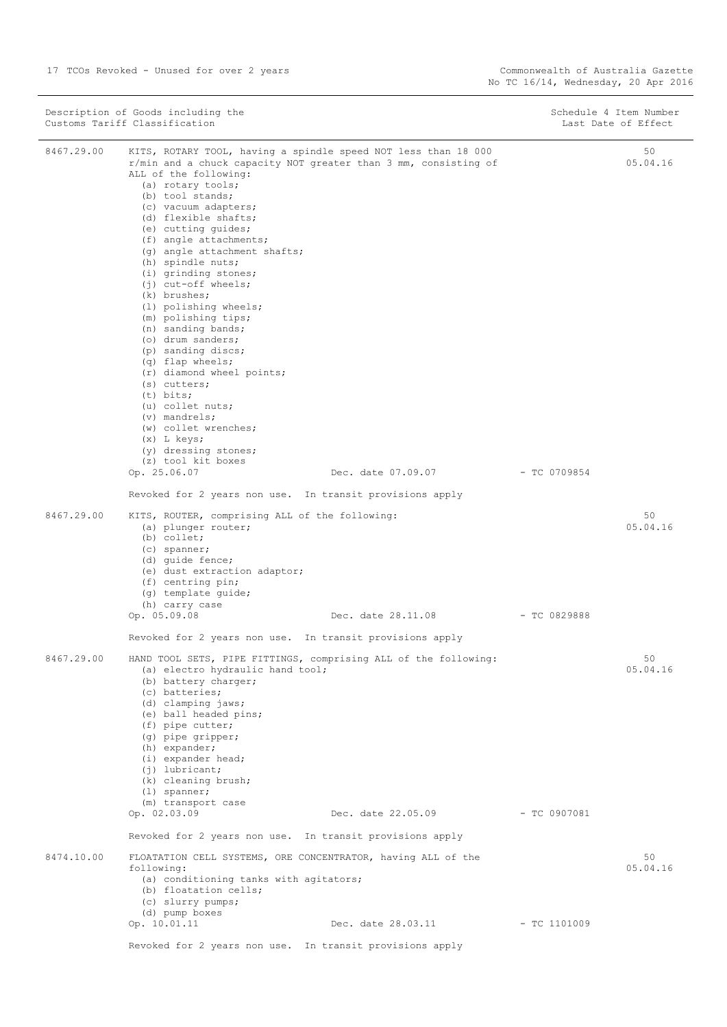|            | Description of Goods including the<br>Customs Tariff Classification                                                                                                                                                                                                                                                                                                                                                                                                                                                                                                                                                                                                                                                                                                                             |                | Schedule 4 Item Number<br>Last Date of Effect |
|------------|-------------------------------------------------------------------------------------------------------------------------------------------------------------------------------------------------------------------------------------------------------------------------------------------------------------------------------------------------------------------------------------------------------------------------------------------------------------------------------------------------------------------------------------------------------------------------------------------------------------------------------------------------------------------------------------------------------------------------------------------------------------------------------------------------|----------------|-----------------------------------------------|
| 8467.29.00 | KITS, ROTARY TOOL, having a spindle speed NOT less than 18 000<br>r/min and a chuck capacity NOT greater than 3 mm, consisting of<br>ALL of the following:<br>(a) rotary tools;<br>(b) tool stands;<br>(c) vacuum adapters;<br>(d) flexible shafts;<br>(e) cutting quides;<br>(f) angle attachments;<br>(g) angle attachment shafts;<br>(h) spindle nuts;<br>(i) grinding stones;<br>(j) cut-off wheels;<br>(k) brushes;<br>(1) polishing wheels;<br>(m) polishing tips;<br>(n) sanding bands;<br>(o) drum sanders;<br>(p) sanding discs;<br>(q) flap wheels;<br>(r) diamond wheel points;<br>$(s)$ cutters;<br>$(t)$ bits;<br>(u) collet nuts;<br>$(v)$ mandrels;<br>(w) collet wrenches;<br>$(x)$ L keys;<br>(y) dressing stones;<br>(z) tool kit boxes<br>Op. 25.06.07<br>Dec. date 07.09.07 | $-$ TC 0709854 | 50<br>05.04.16                                |
|            | Revoked for 2 years non use. In transit provisions apply                                                                                                                                                                                                                                                                                                                                                                                                                                                                                                                                                                                                                                                                                                                                        |                |                                               |
| 8467.29.00 | KITS, ROUTER, comprising ALL of the following:<br>(a) plunger router;<br>(b) collet;<br>$(c)$ spanner;<br>(d) quide fence;<br>(e) dust extraction adaptor;<br>(f) centring pin;<br>(g) template quide;<br>(h) carry case<br>Op. 05.09.08<br>Dec. date 28.11.08                                                                                                                                                                                                                                                                                                                                                                                                                                                                                                                                  | $-$ TC 0829888 | 50<br>05.04.16                                |
|            | Revoked for 2 years non use. In transit provisions apply                                                                                                                                                                                                                                                                                                                                                                                                                                                                                                                                                                                                                                                                                                                                        |                |                                               |
| 8467.29.00 | HAND TOOL SETS, PIPE FITTINGS, comprising ALL of the following:<br>(a) electro hydraulic hand tool;<br>(b) battery charger;<br>(c) batteries;<br>(d) clamping jaws;<br>(e) ball headed pins;<br>(f) pipe cutter;<br>$(q)$ pipe gripper;<br>(h) expander;<br>(i) expander head;<br>$(j)$ lubricant;<br>(k) cleaning brush;<br>$(1)$ spanner;                                                                                                                                                                                                                                                                                                                                                                                                                                                     |                | 50<br>05.04.16                                |
|            | (m) transport case<br>Op. 02.03.09<br>Dec. date 22.05.09 - TC 0907081                                                                                                                                                                                                                                                                                                                                                                                                                                                                                                                                                                                                                                                                                                                           |                |                                               |
|            | Revoked for 2 years non use. In transit provisions apply                                                                                                                                                                                                                                                                                                                                                                                                                                                                                                                                                                                                                                                                                                                                        |                |                                               |
| 8474.10.00 | FLOATATION CELL SYSTEMS, ORE CONCENTRATOR, having ALL of the                                                                                                                                                                                                                                                                                                                                                                                                                                                                                                                                                                                                                                                                                                                                    |                | 50                                            |
|            | following:<br>(a) conditioning tanks with agitators;<br>(b) floatation cells;<br>(c) slurry pumps;<br>(d) pump boxes                                                                                                                                                                                                                                                                                                                                                                                                                                                                                                                                                                                                                                                                            |                | 05.04.16                                      |
|            | Op. 10.01.11<br>Dec. date 28.03.11                                                                                                                                                                                                                                                                                                                                                                                                                                                                                                                                                                                                                                                                                                                                                              | $-$ TC 1101009 |                                               |
|            | Revoked for 2 years non use. In transit provisions apply                                                                                                                                                                                                                                                                                                                                                                                                                                                                                                                                                                                                                                                                                                                                        |                |                                               |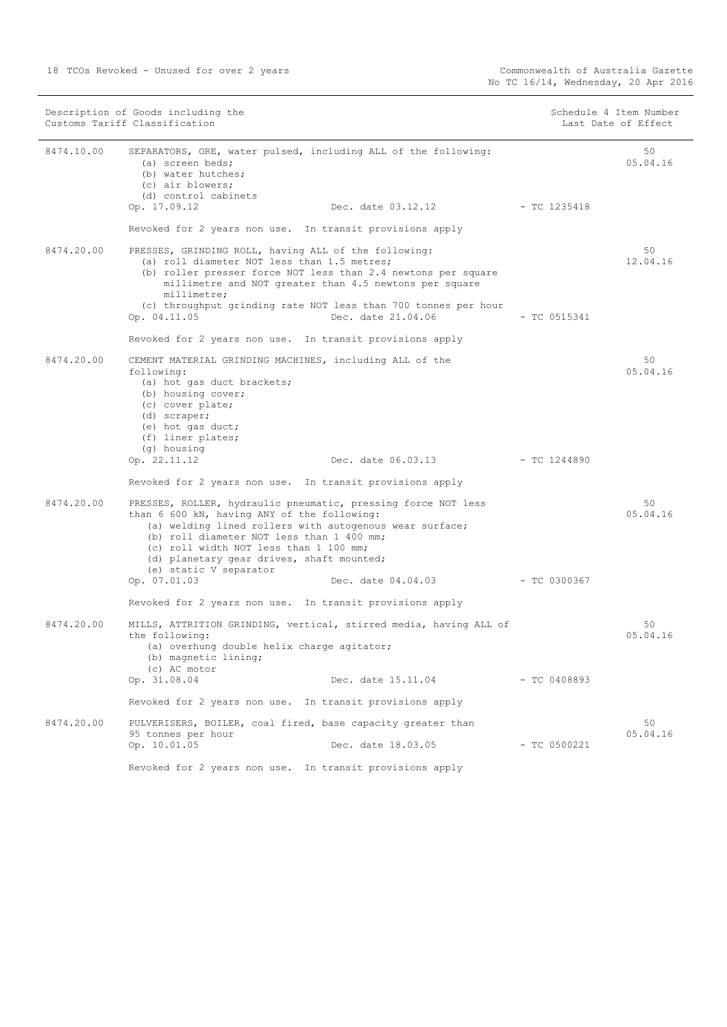| Description of Goods including the<br>Customs Tariff Classification |                                                                                                                                                                                                                                                                                            |                                                                                                                         | Schedule 4 Item Number<br>Last Date of Effect |                |
|---------------------------------------------------------------------|--------------------------------------------------------------------------------------------------------------------------------------------------------------------------------------------------------------------------------------------------------------------------------------------|-------------------------------------------------------------------------------------------------------------------------|-----------------------------------------------|----------------|
| 8474.10.00                                                          | (a) screen beds;<br>(b) water hutches;<br>(c) air blowers;<br>(d) control cabinets                                                                                                                                                                                                         | SEPARATORS, ORE, water pulsed, including ALL of the following:                                                          |                                               | 50<br>05.04.16 |
|                                                                     | Op. 17.09.12                                                                                                                                                                                                                                                                               | Dec. date 03.12.12                                                                                                      | - TC 1235418                                  |                |
|                                                                     | Revoked for 2 years non use. In transit provisions apply                                                                                                                                                                                                                                   |                                                                                                                         |                                               |                |
| 8474.20.00                                                          | PRESSES, GRINDING ROLL, having ALL of the following:<br>(a) roll diameter NOT less than 1.5 metres;<br>millimetre;                                                                                                                                                                         | (b) roller presser force NOT less than 2.4 newtons per square<br>millimetre and NOT greater than 4.5 newtons per square |                                               | 50<br>12.04.16 |
|                                                                     | Op. 04.11.05                                                                                                                                                                                                                                                                               | (c) throughput grinding rate NOT less than 700 tonnes per hour<br>Dec. date 21.04.06                                    | $-$ TC 0515341                                |                |
|                                                                     | Revoked for 2 years non use. In transit provisions apply                                                                                                                                                                                                                                   |                                                                                                                         |                                               |                |
| 8474.20.00                                                          | CEMENT MATERIAL GRINDING MACHINES, including ALL of the<br>following:<br>(a) hot gas duct brackets;<br>(b) housing cover;<br>(c) cover plate;<br>(d) scraper;<br>(e) hot gas duct;<br>(f) liner plates;                                                                                    |                                                                                                                         |                                               | 50<br>05.04.16 |
|                                                                     | (g) housing<br>Op. 22.11.12                                                                                                                                                                                                                                                                | Dec. date 06.03.13 - TC 1244890                                                                                         |                                               |                |
|                                                                     | Revoked for 2 years non use. In transit provisions apply                                                                                                                                                                                                                                   |                                                                                                                         |                                               |                |
| 8474.20.00                                                          | PRESSES, ROLLER, hydraulic pneumatic, pressing force NOT less<br>than 6 600 kN, having ANY of the following:<br>(b) roll diameter NOT less than 1 400 mm;<br>(c) roll width NOT less than 1 100 mm;<br>(d) planetary gear drives, shaft mounted;<br>(e) static V separator<br>Op. 07.01.03 | (a) welding lined rollers with autogenous wear surface;<br>Dec. date 04.04.03                                           | $-$ TC 0300367                                | 50<br>05.04.16 |
|                                                                     | Revoked for 2 years non use. In transit provisions apply                                                                                                                                                                                                                                   |                                                                                                                         |                                               |                |
| 8474.20.00                                                          | the following:<br>(a) overhung double helix charge agitator;<br>(b) magnetic lining;                                                                                                                                                                                                       | MILLS, ATTRITION GRINDING, vertical, stirred media, having ALL of                                                       |                                               | 50<br>05.04.16 |
|                                                                     | (c) AC motor<br>Op. 31.08.04                                                                                                                                                                                                                                                               | Dec. date 15.11.04                                                                                                      | $-$ TC 0408893                                |                |
|                                                                     | Revoked for 2 years non use. In transit provisions apply                                                                                                                                                                                                                                   |                                                                                                                         |                                               |                |
| 8474.20.00                                                          | PULVERISERS, BOILER, coal fired, base capacity greater than                                                                                                                                                                                                                                |                                                                                                                         |                                               | 50             |
|                                                                     | 95 tonnes per hour<br>Op. 10.01.05                                                                                                                                                                                                                                                         | Dec. date 18.03.05                                                                                                      | $-$ TC 0500221                                | 05.04.16       |
|                                                                     | Revoked for 2 years non use. In transit provisions apply                                                                                                                                                                                                                                   |                                                                                                                         |                                               |                |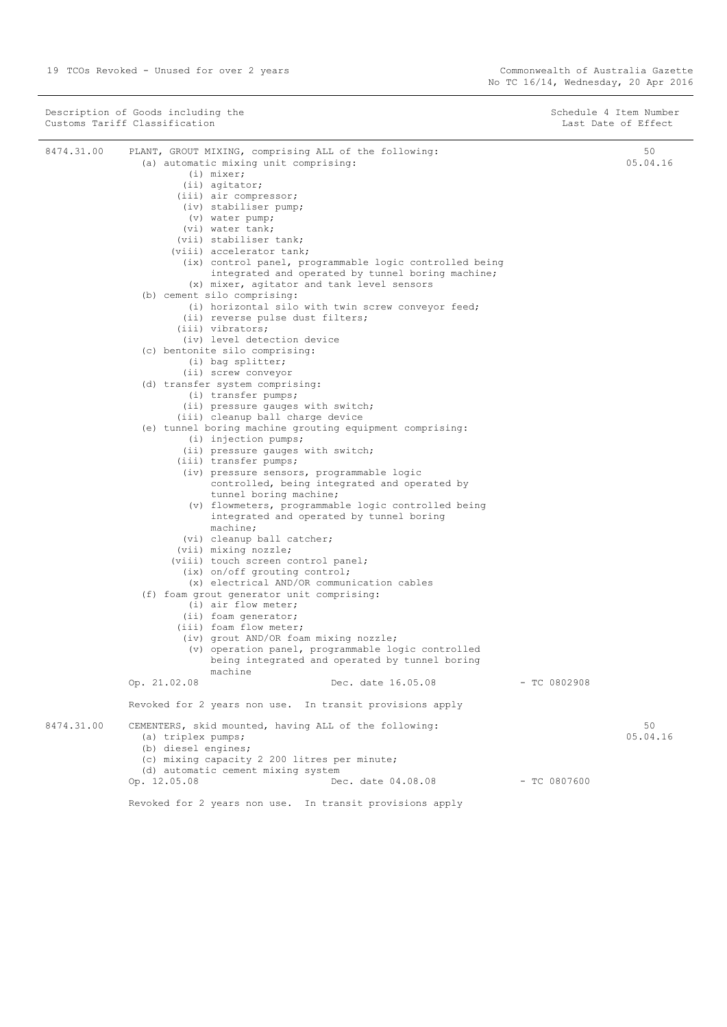$\sim$ 

| Description of Goods including the<br>Customs Tariff Classification |                                                                                                                                                                                                                                                                                                                                                                                                 | Schedule 4 Item Number<br>Last Date of Effect |                |
|---------------------------------------------------------------------|-------------------------------------------------------------------------------------------------------------------------------------------------------------------------------------------------------------------------------------------------------------------------------------------------------------------------------------------------------------------------------------------------|-----------------------------------------------|----------------|
| 8474.31.00                                                          | PLANT, GROUT MIXING, comprising ALL of the following:<br>(a) automatic mixing unit comprising:<br>$(i)$ mixer;<br>(ii) agitator;<br>(iii) air compressor;<br>(iv) stabiliser pump;<br>(v) water pump;<br>(vi) water tank;<br>(vii) stabiliser tank;<br>(viii) accelerator tank;<br>(ix) control panel, programmable logic controlled being<br>integrated and operated by tunnel boring machine; |                                               | 50<br>05.04.16 |
|                                                                     | (x) mixer, agitator and tank level sensors<br>(b) cement silo comprising:<br>(i) horizontal silo with twin screw conveyor feed;<br>(ii) reverse pulse dust filters;<br>(iii) vibrators;<br>(iv) level detection device                                                                                                                                                                          |                                               |                |
|                                                                     | (c) bentonite silo comprising:<br>(i) bag splitter;<br>(ii) screw conveyor<br>(d) transfer system comprising:                                                                                                                                                                                                                                                                                   |                                               |                |
|                                                                     | (i) transfer pumps;<br>(ii) pressure gauges with switch;<br>(iii) cleanup ball charge device<br>(e) tunnel boring machine grouting equipment comprising:<br>$(i)$ injection pumps;                                                                                                                                                                                                              |                                               |                |
|                                                                     | (ii) pressure gauges with switch;<br>(iii) transfer pumps;<br>(iv) pressure sensors, programmable logic<br>controlled, being integrated and operated by<br>tunnel boring machine;<br>(v) flowmeters, programmable logic controlled being<br>integrated and operated by tunnel boring<br>machine;                                                                                                |                                               |                |
|                                                                     | (vi) cleanup ball catcher;<br>(vii) mixing nozzle;<br>(viii) touch screen control panel;<br>(ix) on/off grouting control;<br>(x) electrical AND/OR communication cables                                                                                                                                                                                                                         |                                               |                |
|                                                                     | (f) foam grout generator unit comprising:<br>(i) air flow meter;<br>(ii) foam generator;<br>(iii) foam flow meter;<br>(iv) grout AND/OR foam mixing nozzle;<br>(v) operation panel, programmable logic controlled<br>being integrated and operated by tunnel boring<br>machine                                                                                                                  |                                               |                |
|                                                                     | Dec. date 16.05.08<br>Op. 21.02.08                                                                                                                                                                                                                                                                                                                                                              | - TC 0802908                                  |                |
| 8474.31.00                                                          | Revoked for 2 years non use. In transit provisions apply<br>CEMENTERS, skid mounted, having ALL of the following:<br>(a) triplex pumps;<br>(b) diesel engines;<br>(c) mixing capacity 2 200 litres per minute;                                                                                                                                                                                  |                                               | 50<br>05.04.16 |
|                                                                     | (d) automatic cement mixing system<br>Op. 12.05.08<br>Dec. date 04.08.08                                                                                                                                                                                                                                                                                                                        | $-$ TC 0807600                                |                |
|                                                                     | Revoked for 2 years non use. In transit provisions apply                                                                                                                                                                                                                                                                                                                                        |                                               |                |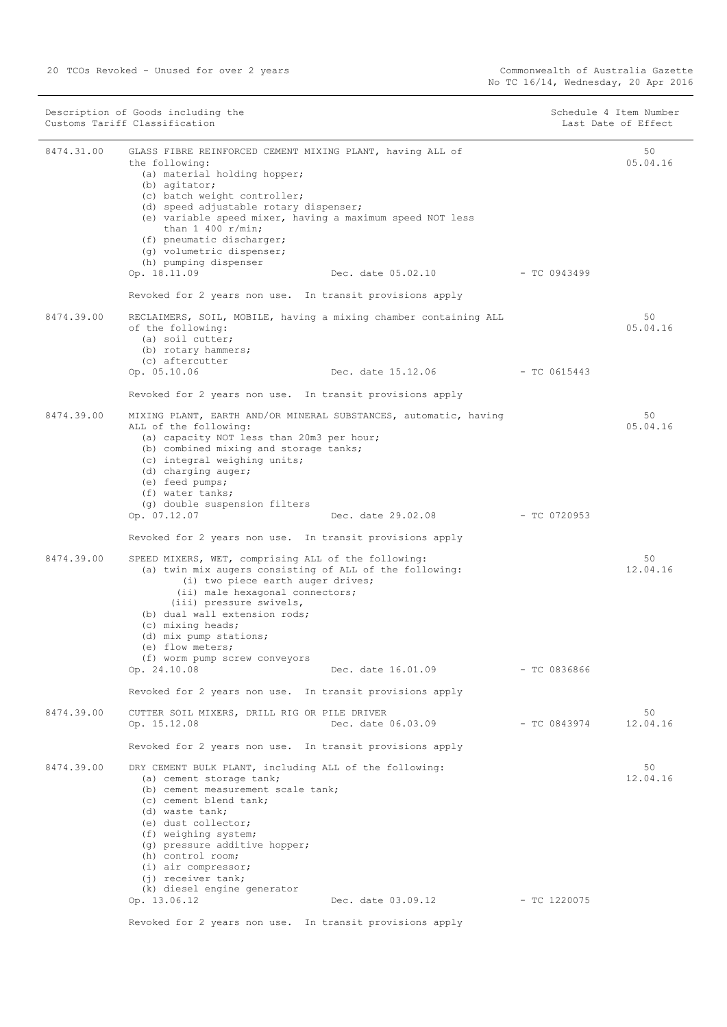| 8474.31.00<br>50<br>GLASS FIBRE REINFORCED CEMENT MIXING PLANT, having ALL of<br>05.04.16<br>the following:<br>(a) material holding hopper;<br>(b) agitator;<br>(c) batch weight controller;<br>(d) speed adjustable rotary dispenser;<br>(e) variable speed mixer, having a maximum speed NOT less<br>than $1\,400\,$ r/min;<br>(f) pneumatic discharger;<br>(g) volumetric dispenser;<br>(h) pumping dispenser<br>Op. 18.11.09<br>Dec. date 05.02.10<br>$-TC 0943499$<br>Revoked for 2 years non use. In transit provisions apply<br>8474.39.00<br>50<br>RECLAIMERS, SOIL, MOBILE, having a mixing chamber containing ALL<br>of the following:<br>05.04.16<br>(a) soil cutter;<br>(b) rotary hammers;<br>(c) aftercutter<br>Op. 05.10.06<br>Dec. date 15.12.06<br>$-TC0615443$<br>Revoked for 2 years non use. In transit provisions apply<br>8474.39.00<br>50<br>MIXING PLANT, EARTH AND/OR MINERAL SUBSTANCES, automatic, having<br>05.04.16<br>ALL of the following:<br>(a) capacity NOT less than 20m3 per hour;<br>(b) combined mixing and storage tanks;<br>(c) integral weighing units;<br>(d) charging auger;<br>(e) feed pumps;<br>(f) water tanks;<br>(g) double suspension filters<br>Op. 07.12.07<br>Dec. date 29.02.08<br>- TC 0720953<br>Revoked for 2 years non use. In transit provisions apply<br>8474.39.00<br>SPEED MIXERS, WET, comprising ALL of the following:<br>50<br>(a) twin mix augers consisting of ALL of the following:<br>12.04.16<br>(i) two piece earth auger drives;<br>(ii) male hexagonal connectors;<br>(iii) pressure swivels,<br>(b) dual wall extension rods;<br>(c) mixing heads;<br>(d) mix pump stations;<br>(e) flow meters;<br>(f) worm pump screw conveyors<br>Op. 24.10.08<br>Dec. date 16.01.09<br>- TC 0836866<br>Revoked for 2 years non use. In transit provisions apply<br>8474.39.00<br>CUTTER SOIL MIXERS, DRILL RIG OR PILE DRIVER<br>50<br>Dec. date 06.03.09<br>$-$ TC 0843974<br>12.04.16<br>Op. 15.12.08<br>Revoked for 2 years non use. In transit provisions apply<br>8474.39.00<br>DRY CEMENT BULK PLANT, including ALL of the following:<br>50<br>12.04.16<br>(a) cement storage tank;<br>(b) cement measurement scale tank;<br>(c) cement blend tank;<br>(d) waste tank;<br>(e) dust collector;<br>(f) weighing system;<br>(g) pressure additive hopper;<br>(h) control room;<br>$(i)$ air compressor;<br>(j) receiver tank;<br>(k) diesel engine generator<br>Op. 13.06.12<br>Dec. date 03.09.12 - TC 1220075 | Description of Goods including the<br>Customs Tariff Classification |  | Schedule 4 Item Number<br>Last Date of Effect |  |
|----------------------------------------------------------------------------------------------------------------------------------------------------------------------------------------------------------------------------------------------------------------------------------------------------------------------------------------------------------------------------------------------------------------------------------------------------------------------------------------------------------------------------------------------------------------------------------------------------------------------------------------------------------------------------------------------------------------------------------------------------------------------------------------------------------------------------------------------------------------------------------------------------------------------------------------------------------------------------------------------------------------------------------------------------------------------------------------------------------------------------------------------------------------------------------------------------------------------------------------------------------------------------------------------------------------------------------------------------------------------------------------------------------------------------------------------------------------------------------------------------------------------------------------------------------------------------------------------------------------------------------------------------------------------------------------------------------------------------------------------------------------------------------------------------------------------------------------------------------------------------------------------------------------------------------------------------------------------------------------------------------------------------------------------------------------------------------------------------------------------------------------------------------------------------------------------------------------------------------------------------------------------------------------------------------------------------------------------------------------------------------------------------------------------------------------------------------------------------------|---------------------------------------------------------------------|--|-----------------------------------------------|--|
|                                                                                                                                                                                                                                                                                                                                                                                                                                                                                                                                                                                                                                                                                                                                                                                                                                                                                                                                                                                                                                                                                                                                                                                                                                                                                                                                                                                                                                                                                                                                                                                                                                                                                                                                                                                                                                                                                                                                                                                                                                                                                                                                                                                                                                                                                                                                                                                                                                                                                  |                                                                     |  |                                               |  |
|                                                                                                                                                                                                                                                                                                                                                                                                                                                                                                                                                                                                                                                                                                                                                                                                                                                                                                                                                                                                                                                                                                                                                                                                                                                                                                                                                                                                                                                                                                                                                                                                                                                                                                                                                                                                                                                                                                                                                                                                                                                                                                                                                                                                                                                                                                                                                                                                                                                                                  |                                                                     |  |                                               |  |
|                                                                                                                                                                                                                                                                                                                                                                                                                                                                                                                                                                                                                                                                                                                                                                                                                                                                                                                                                                                                                                                                                                                                                                                                                                                                                                                                                                                                                                                                                                                                                                                                                                                                                                                                                                                                                                                                                                                                                                                                                                                                                                                                                                                                                                                                                                                                                                                                                                                                                  |                                                                     |  |                                               |  |
|                                                                                                                                                                                                                                                                                                                                                                                                                                                                                                                                                                                                                                                                                                                                                                                                                                                                                                                                                                                                                                                                                                                                                                                                                                                                                                                                                                                                                                                                                                                                                                                                                                                                                                                                                                                                                                                                                                                                                                                                                                                                                                                                                                                                                                                                                                                                                                                                                                                                                  |                                                                     |  |                                               |  |
|                                                                                                                                                                                                                                                                                                                                                                                                                                                                                                                                                                                                                                                                                                                                                                                                                                                                                                                                                                                                                                                                                                                                                                                                                                                                                                                                                                                                                                                                                                                                                                                                                                                                                                                                                                                                                                                                                                                                                                                                                                                                                                                                                                                                                                                                                                                                                                                                                                                                                  |                                                                     |  |                                               |  |
|                                                                                                                                                                                                                                                                                                                                                                                                                                                                                                                                                                                                                                                                                                                                                                                                                                                                                                                                                                                                                                                                                                                                                                                                                                                                                                                                                                                                                                                                                                                                                                                                                                                                                                                                                                                                                                                                                                                                                                                                                                                                                                                                                                                                                                                                                                                                                                                                                                                                                  |                                                                     |  |                                               |  |
|                                                                                                                                                                                                                                                                                                                                                                                                                                                                                                                                                                                                                                                                                                                                                                                                                                                                                                                                                                                                                                                                                                                                                                                                                                                                                                                                                                                                                                                                                                                                                                                                                                                                                                                                                                                                                                                                                                                                                                                                                                                                                                                                                                                                                                                                                                                                                                                                                                                                                  |                                                                     |  |                                               |  |
|                                                                                                                                                                                                                                                                                                                                                                                                                                                                                                                                                                                                                                                                                                                                                                                                                                                                                                                                                                                                                                                                                                                                                                                                                                                                                                                                                                                                                                                                                                                                                                                                                                                                                                                                                                                                                                                                                                                                                                                                                                                                                                                                                                                                                                                                                                                                                                                                                                                                                  |                                                                     |  |                                               |  |
|                                                                                                                                                                                                                                                                                                                                                                                                                                                                                                                                                                                                                                                                                                                                                                                                                                                                                                                                                                                                                                                                                                                                                                                                                                                                                                                                                                                                                                                                                                                                                                                                                                                                                                                                                                                                                                                                                                                                                                                                                                                                                                                                                                                                                                                                                                                                                                                                                                                                                  |                                                                     |  |                                               |  |
|                                                                                                                                                                                                                                                                                                                                                                                                                                                                                                                                                                                                                                                                                                                                                                                                                                                                                                                                                                                                                                                                                                                                                                                                                                                                                                                                                                                                                                                                                                                                                                                                                                                                                                                                                                                                                                                                                                                                                                                                                                                                                                                                                                                                                                                                                                                                                                                                                                                                                  |                                                                     |  |                                               |  |
|                                                                                                                                                                                                                                                                                                                                                                                                                                                                                                                                                                                                                                                                                                                                                                                                                                                                                                                                                                                                                                                                                                                                                                                                                                                                                                                                                                                                                                                                                                                                                                                                                                                                                                                                                                                                                                                                                                                                                                                                                                                                                                                                                                                                                                                                                                                                                                                                                                                                                  |                                                                     |  |                                               |  |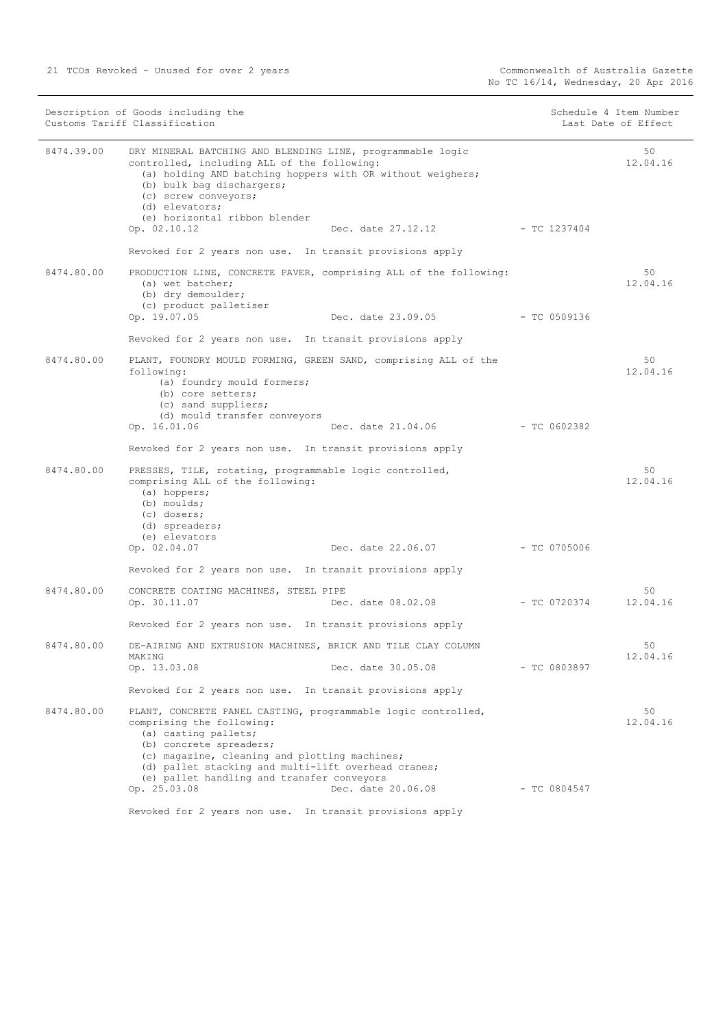|            | Description of Goods including the<br>Customs Tariff Classification                                                                                                                                                                                                                                 |                         | Schedule 4 Item Number<br>Last Date of Effect |
|------------|-----------------------------------------------------------------------------------------------------------------------------------------------------------------------------------------------------------------------------------------------------------------------------------------------------|-------------------------|-----------------------------------------------|
| 8474.39.00 | DRY MINERAL BATCHING AND BLENDING LINE, programmable logic<br>controlled, including ALL of the following:<br>(a) holding AND batching hoppers with OR without weighers;<br>(b) bulk bag dischargers;<br>(c) screw conveyors;<br>(d) elevators;<br>(e) horizontal ribbon blender                     |                         | 50<br>12.04.16                                |
|            | Op. 02.10.12<br>Dec. date 27.12.12 - TC 1237404                                                                                                                                                                                                                                                     |                         |                                               |
|            | Revoked for 2 years non use. In transit provisions apply                                                                                                                                                                                                                                            |                         |                                               |
| 8474.80.00 | PRODUCTION LINE, CONCRETE PAVER, comprising ALL of the following:<br>(a) wet batcher;<br>(b) dry demoulder;<br>(c) product palletiser                                                                                                                                                               |                         | 50<br>12.04.16                                |
|            | Dec. date 23.09.05 - TC 0509136<br>Op. 19.07.05                                                                                                                                                                                                                                                     |                         |                                               |
|            | Revoked for 2 years non use. In transit provisions apply                                                                                                                                                                                                                                            |                         |                                               |
| 8474.80.00 | PLANT, FOUNDRY MOULD FORMING, GREEN SAND, comprising ALL of the<br>following:<br>(a) foundry mould formers;<br>(b) core setters;<br>(c) sand suppliers;<br>(d) mould transfer conveyors                                                                                                             |                         | 50<br>12.04.16                                |
|            | Op. 16.01.06<br>Dec. date 21.04.06                                                                                                                                                                                                                                                                  | $-$ TC 0602382          |                                               |
|            | Revoked for 2 years non use. In transit provisions apply                                                                                                                                                                                                                                            |                         |                                               |
| 8474.80.00 | PRESSES, TILE, rotating, programmable logic controlled,<br>comprising ALL of the following:<br>$(a)$ hoppers;<br>(b) moulds;<br>(c) dosers;<br>(d) spreaders;<br>(e) elevators<br>Dec. date 22.06.07 - TC 0705006<br>Op. 02.04.07                                                                   |                         | 50<br>12.04.16                                |
|            |                                                                                                                                                                                                                                                                                                     |                         |                                               |
|            | Revoked for 2 years non use. In transit provisions apply                                                                                                                                                                                                                                            |                         |                                               |
| 8474.80.00 | CONCRETE COATING MACHINES, STEEL PIPE<br>Op. 30.11.07<br>Dec. date 08.02.08                                                                                                                                                                                                                         | $-$ TC 0720374 12.04.16 | 50                                            |
|            | Revoked for 2 years non use. In transit provisions apply                                                                                                                                                                                                                                            |                         |                                               |
| 8474.80.00 | DE-AIRING AND EXTRUSION MACHINES, BRICK AND TILE CLAY COLUMN<br>MAKING                                                                                                                                                                                                                              |                         | 50<br>12.04.16                                |
|            | Op. 13.03.08<br>Dec. date 30.05.08                                                                                                                                                                                                                                                                  | - TC 0803897            |                                               |
|            | Revoked for 2 years non use. In transit provisions apply                                                                                                                                                                                                                                            |                         |                                               |
| 8474.80.00 | PLANT, CONCRETE PANEL CASTING, programmable logic controlled,<br>comprising the following:<br>(a) casting pallets;<br>(b) concrete spreaders;<br>(c) magazine, cleaning and plotting machines;<br>(d) pallet stacking and multi-lift overhead cranes;<br>(e) pallet handling and transfer conveyors |                         | 50<br>12.04.16                                |
|            | Op. 25.03.08<br>Dec. date 20.06.08                                                                                                                                                                                                                                                                  | $-$ TC 0804547          |                                               |
|            | Revoked for 2 years non use. In transit provisions apply                                                                                                                                                                                                                                            |                         |                                               |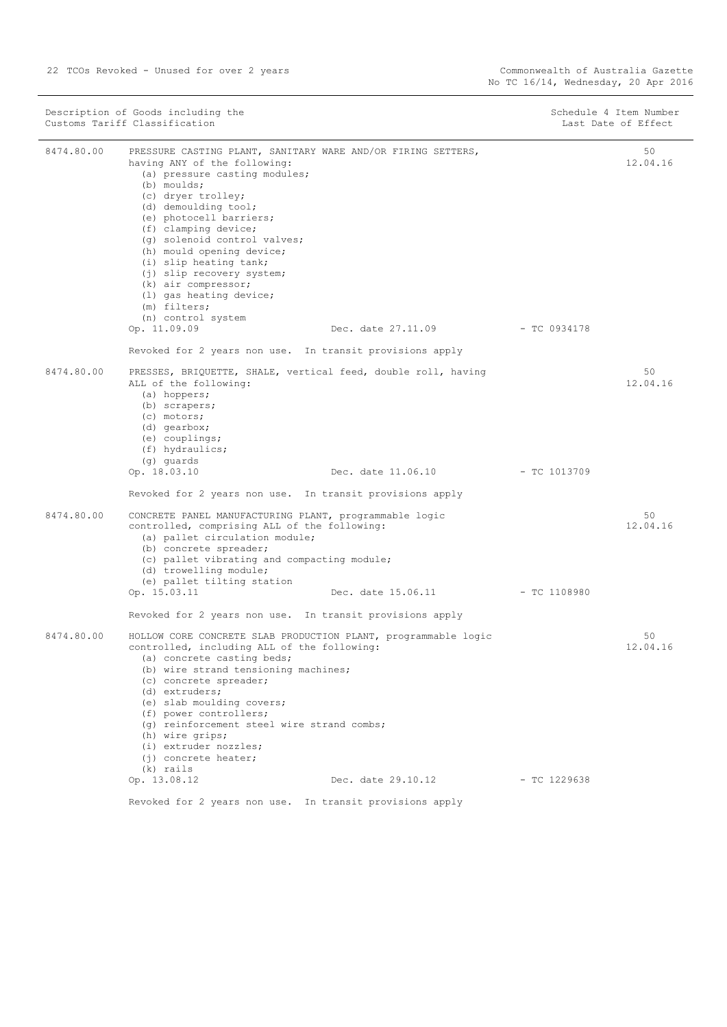| 8474.80.00<br>50<br>PRESSURE CASTING PLANT, SANITARY WARE AND/OR FIRING SETTERS,<br>having ANY of the following:<br>(a) pressure casting modules;<br>(b) moulds;<br>(c) dryer trolley;<br>(d) demoulding tool;<br>(e) photocell barriers;<br>(f) clamping device;<br>(q) solenoid control valves;<br>(h) mould opening device;<br>(i) slip heating tank;<br>(j) slip recovery system;<br>$(k)$ air compressor;<br>(1) gas heating device;<br>(m) filters;<br>(n) control system<br>Op. 11.09.09<br>Dec. date 27.11.09<br>- TC 0934178<br>Revoked for 2 years non use. In transit provisions apply<br>8474.80.00<br>50<br>PRESSES, BRIQUETTE, SHALE, vertical feed, double roll, having<br>ALL of the following:<br>(a) hoppers;<br>(b) scrapers;<br>(c) motors;<br>(d) qearbox;<br>$(e)$ couplings;<br>(f) hydraulics;<br>(g) quards<br>Op. 18.03.10<br>Dec. date 11.06.10<br>$-$ TC 1013709<br>Revoked for 2 years non use. In transit provisions apply<br>8474.80.00<br>CONCRETE PANEL MANUFACTURING PLANT, programmable logic<br>50<br>controlled, comprising ALL of the following:<br>(a) pallet circulation module;<br>(b) concrete spreader;<br>(c) pallet vibrating and compacting module;<br>(d) trowelling module;<br>(e) pallet tilting station<br>Op. 15.03.11<br>Dec. date 15.06.11<br>- TC 1108980<br>Revoked for 2 years non use. In transit provisions apply<br>8474.80.00<br>50<br>HOLLOW CORE CONCRETE SLAB PRODUCTION PLANT, programmable logic<br>controlled, including ALL of the following:<br>(a) concrete casting beds;<br>(b) wire strand tensioning machines; | Description of Goods including the<br>Customs Tariff Classification |  | Schedule 4 Item Number<br>Last Date of Effect |
|----------------------------------------------------------------------------------------------------------------------------------------------------------------------------------------------------------------------------------------------------------------------------------------------------------------------------------------------------------------------------------------------------------------------------------------------------------------------------------------------------------------------------------------------------------------------------------------------------------------------------------------------------------------------------------------------------------------------------------------------------------------------------------------------------------------------------------------------------------------------------------------------------------------------------------------------------------------------------------------------------------------------------------------------------------------------------------------------------------------------------------------------------------------------------------------------------------------------------------------------------------------------------------------------------------------------------------------------------------------------------------------------------------------------------------------------------------------------------------------------------------------------------------------------------------------------------------------|---------------------------------------------------------------------|--|-----------------------------------------------|
|                                                                                                                                                                                                                                                                                                                                                                                                                                                                                                                                                                                                                                                                                                                                                                                                                                                                                                                                                                                                                                                                                                                                                                                                                                                                                                                                                                                                                                                                                                                                                                                        |                                                                     |  | 12.04.16                                      |
|                                                                                                                                                                                                                                                                                                                                                                                                                                                                                                                                                                                                                                                                                                                                                                                                                                                                                                                                                                                                                                                                                                                                                                                                                                                                                                                                                                                                                                                                                                                                                                                        |                                                                     |  |                                               |
|                                                                                                                                                                                                                                                                                                                                                                                                                                                                                                                                                                                                                                                                                                                                                                                                                                                                                                                                                                                                                                                                                                                                                                                                                                                                                                                                                                                                                                                                                                                                                                                        |                                                                     |  |                                               |
|                                                                                                                                                                                                                                                                                                                                                                                                                                                                                                                                                                                                                                                                                                                                                                                                                                                                                                                                                                                                                                                                                                                                                                                                                                                                                                                                                                                                                                                                                                                                                                                        |                                                                     |  | 12.04.16                                      |
|                                                                                                                                                                                                                                                                                                                                                                                                                                                                                                                                                                                                                                                                                                                                                                                                                                                                                                                                                                                                                                                                                                                                                                                                                                                                                                                                                                                                                                                                                                                                                                                        |                                                                     |  |                                               |
|                                                                                                                                                                                                                                                                                                                                                                                                                                                                                                                                                                                                                                                                                                                                                                                                                                                                                                                                                                                                                                                                                                                                                                                                                                                                                                                                                                                                                                                                                                                                                                                        |                                                                     |  |                                               |
|                                                                                                                                                                                                                                                                                                                                                                                                                                                                                                                                                                                                                                                                                                                                                                                                                                                                                                                                                                                                                                                                                                                                                                                                                                                                                                                                                                                                                                                                                                                                                                                        |                                                                     |  | 12.04.16                                      |
|                                                                                                                                                                                                                                                                                                                                                                                                                                                                                                                                                                                                                                                                                                                                                                                                                                                                                                                                                                                                                                                                                                                                                                                                                                                                                                                                                                                                                                                                                                                                                                                        |                                                                     |  |                                               |
|                                                                                                                                                                                                                                                                                                                                                                                                                                                                                                                                                                                                                                                                                                                                                                                                                                                                                                                                                                                                                                                                                                                                                                                                                                                                                                                                                                                                                                                                                                                                                                                        |                                                                     |  |                                               |
| (d) extruders;<br>(e) slab moulding covers;<br>(f) power controllers;<br>(g) reinforcement steel wire strand combs;<br>(h) wire grips;<br>(i) extruder nozzles;<br>(i) concrete heater;<br>(k) rails                                                                                                                                                                                                                                                                                                                                                                                                                                                                                                                                                                                                                                                                                                                                                                                                                                                                                                                                                                                                                                                                                                                                                                                                                                                                                                                                                                                   | (c) concrete spreader;                                              |  | 12.04.16                                      |
| Op. 13.08.12<br>Dec. date 29.10.12<br>$-$ TC 1229638                                                                                                                                                                                                                                                                                                                                                                                                                                                                                                                                                                                                                                                                                                                                                                                                                                                                                                                                                                                                                                                                                                                                                                                                                                                                                                                                                                                                                                                                                                                                   |                                                                     |  |                                               |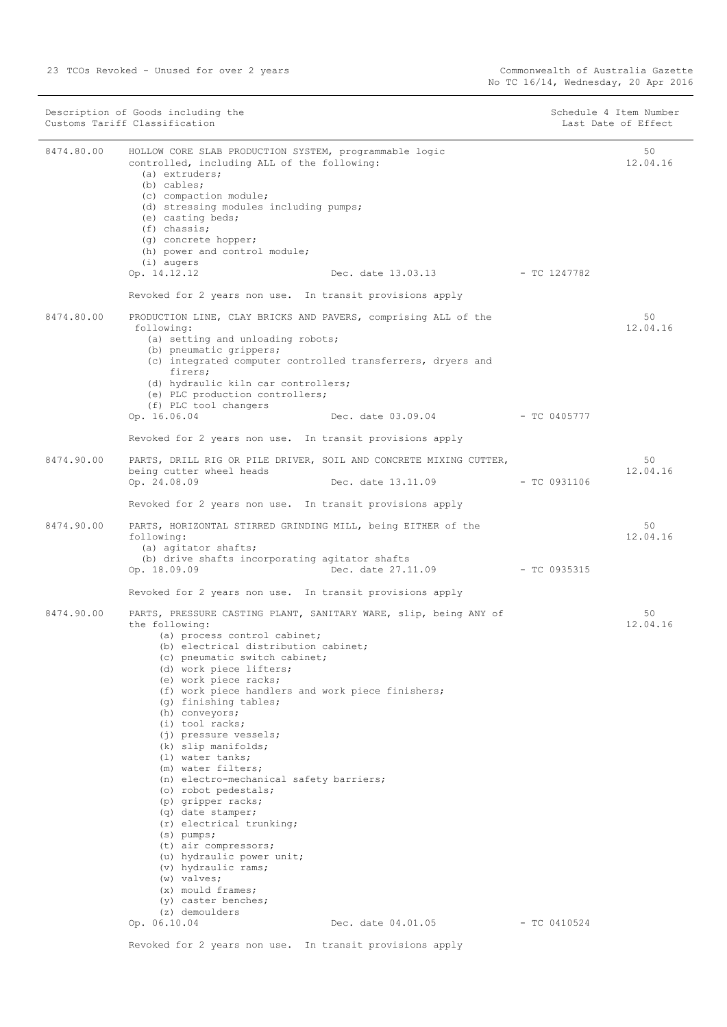|            | Customs Tariff Classification                                                                                                                                                                                                                                                                                                                                                                                                                                                                                                                                                                                                                                                                                                                                                         |                                                                   |                | Schedule 4 Item Number<br>Last Date of Effect |
|------------|---------------------------------------------------------------------------------------------------------------------------------------------------------------------------------------------------------------------------------------------------------------------------------------------------------------------------------------------------------------------------------------------------------------------------------------------------------------------------------------------------------------------------------------------------------------------------------------------------------------------------------------------------------------------------------------------------------------------------------------------------------------------------------------|-------------------------------------------------------------------|----------------|-----------------------------------------------|
| 8474.80.00 | HOLLOW CORE SLAB PRODUCTION SYSTEM, programmable logic<br>controlled, including ALL of the following:<br>$(a)$ extruders;<br>$(b)$ cables;<br>(c) compaction module;<br>(d) stressing modules including pumps;<br>(e) casting beds;<br>$(f)$ chassis;<br>(g) concrete hopper;<br>(h) power and control module;<br>(i) augers<br>Op. 14.12.12                                                                                                                                                                                                                                                                                                                                                                                                                                          | Dec. date 13.03.13 - TC 1247782                                   |                | 50<br>12.04.16                                |
|            | Revoked for 2 years non use. In transit provisions apply                                                                                                                                                                                                                                                                                                                                                                                                                                                                                                                                                                                                                                                                                                                              |                                                                   |                |                                               |
| 8474.80.00 | PRODUCTION LINE, CLAY BRICKS AND PAVERS, comprising ALL of the<br>following:<br>(a) setting and unloading robots;<br>(b) pneumatic grippers;<br>(c) integrated computer controlled transferrers, dryers and<br>firers;                                                                                                                                                                                                                                                                                                                                                                                                                                                                                                                                                                |                                                                   |                | 50<br>12.04.16                                |
|            | (d) hydraulic kiln car controllers;<br>(e) PLC production controllers;                                                                                                                                                                                                                                                                                                                                                                                                                                                                                                                                                                                                                                                                                                                |                                                                   |                |                                               |
|            | (f) PLC tool changers<br>Op. 16.06.04                                                                                                                                                                                                                                                                                                                                                                                                                                                                                                                                                                                                                                                                                                                                                 | Dec. date 03.09.04                                                | - TC 0405777   |                                               |
|            | Revoked for 2 years non use. In transit provisions apply                                                                                                                                                                                                                                                                                                                                                                                                                                                                                                                                                                                                                                                                                                                              |                                                                   |                |                                               |
| 8474.90.00 | being cutter wheel heads                                                                                                                                                                                                                                                                                                                                                                                                                                                                                                                                                                                                                                                                                                                                                              | PARTS, DRILL RIG OR PILE DRIVER, SOIL AND CONCRETE MIXING CUTTER, |                | 50<br>12.04.16                                |
|            | Op. 24.08.09                                                                                                                                                                                                                                                                                                                                                                                                                                                                                                                                                                                                                                                                                                                                                                          | Dec. date 13.11.09                                                | - TC 0931106   |                                               |
|            | Revoked for 2 years non use. In transit provisions apply                                                                                                                                                                                                                                                                                                                                                                                                                                                                                                                                                                                                                                                                                                                              |                                                                   |                |                                               |
| 8474.90.00 | PARTS, HORIZONTAL STIRRED GRINDING MILL, being EITHER of the<br>following:<br>(a) agitator shafts;<br>(b) drive shafts incorporating agitator shafts                                                                                                                                                                                                                                                                                                                                                                                                                                                                                                                                                                                                                                  |                                                                   |                | 50<br>12.04.16                                |
|            | Op. 18.09.09                                                                                                                                                                                                                                                                                                                                                                                                                                                                                                                                                                                                                                                                                                                                                                          | Dec. date 27.11.09                                                | $-$ TC 0935315 |                                               |
|            | Revoked for 2 years non use. In transit provisions apply                                                                                                                                                                                                                                                                                                                                                                                                                                                                                                                                                                                                                                                                                                                              |                                                                   |                |                                               |
| 8474.90.00 | PARTS, PRESSURE CASTING PLANT, SANITARY WARE, slip, being ANY of<br>the following:<br>(a) process control cabinet;<br>(b) electrical distribution cabinet;<br>(c) pneumatic switch cabinet;<br>(d) work piece lifters;<br>(e) work piece racks;<br>(f) work piece handlers and work piece finishers;<br>(q) finishing tables;<br>(h) conveyors;<br>$(i)$ tool racks;<br>(j) pressure vessels;<br>(k) slip manifolds;<br>(1) water tanks:<br>(m) water filters;<br>(n) electro-mechanical safety barriers;<br>(o) robot pedestals;<br>(p) gripper racks;<br>(q) date stamper;<br>(r) electrical trunking;<br>$(s)$ pumps;<br>(t) air compressors;<br>(u) hydraulic power unit;<br>(v) hydraulic rams;<br>$(w)$ valves;<br>$(x)$ mould frames;<br>(y) caster benches;<br>(z) demoulders |                                                                   |                | 50<br>12.04.16                                |
|            | Op. 06.10.04                                                                                                                                                                                                                                                                                                                                                                                                                                                                                                                                                                                                                                                                                                                                                                          | Dec. date 04.01.05                                                | $-$ TC 0410524 |                                               |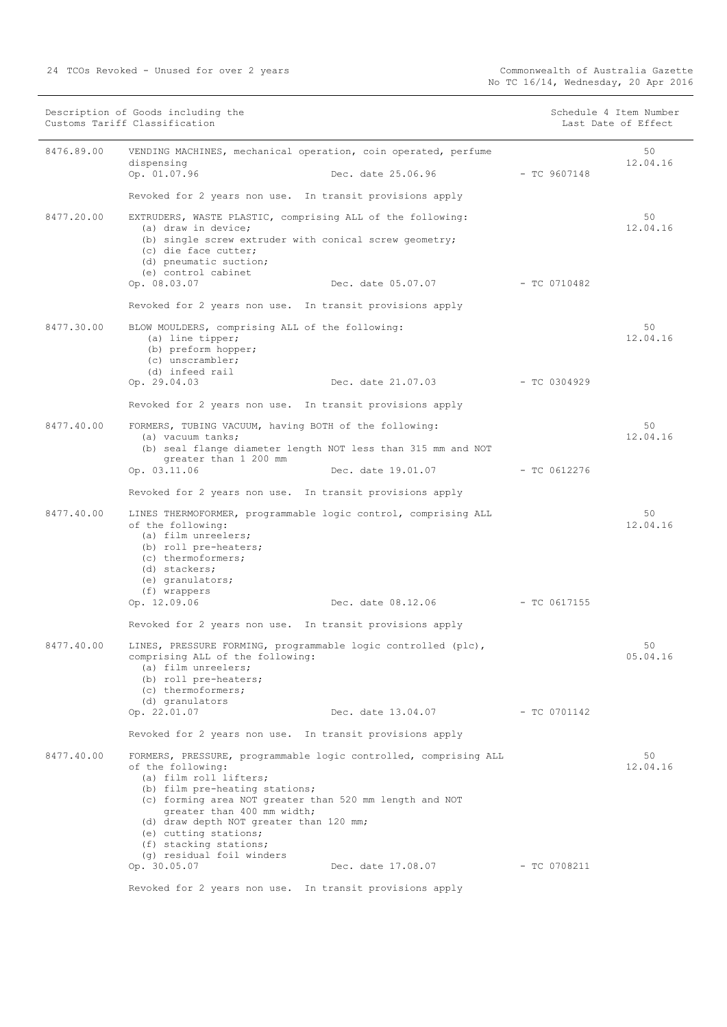|            | Description of Goods including the<br>Customs Tariff Classification                                                                                                                                                                                                                                                                                                   |                                 |                | Schedule 4 Item Number<br>Last Date of Effect |
|------------|-----------------------------------------------------------------------------------------------------------------------------------------------------------------------------------------------------------------------------------------------------------------------------------------------------------------------------------------------------------------------|---------------------------------|----------------|-----------------------------------------------|
| 8476.89.00 | VENDING MACHINES, mechanical operation, coin operated, perfume<br>dispensing<br>Op. 01.07.96                                                                                                                                                                                                                                                                          | Dec. date 25.06.96 - TC 9607148 |                | 50<br>12.04.16                                |
|            | Revoked for 2 years non use. In transit provisions apply                                                                                                                                                                                                                                                                                                              |                                 |                |                                               |
| 8477.20.00 | EXTRUDERS, WASTE PLASTIC, comprising ALL of the following:<br>(a) draw in device;<br>(b) single screw extruder with conical screw geometry;<br>(c) die face cutter:<br>(d) pneumatic suction;                                                                                                                                                                         |                                 |                | 50<br>12.04.16                                |
|            | (e) control cabinet<br>Op. 08.03.07                                                                                                                                                                                                                                                                                                                                   | Dec. date 05.07.07              | $-$ TC 0710482 |                                               |
|            | Revoked for 2 years non use. In transit provisions apply                                                                                                                                                                                                                                                                                                              |                                 |                |                                               |
| 8477.30.00 | BLOW MOULDERS, comprising ALL of the following:<br>(a) line tipper;<br>(b) preform hopper;<br>(c) unscrambler;<br>(d) infeed rail                                                                                                                                                                                                                                     |                                 |                | 50<br>12.04.16                                |
|            | Op. 29.04.03                                                                                                                                                                                                                                                                                                                                                          | Dec. date 21.07.03              | $-$ TC 0304929 |                                               |
|            | Revoked for 2 years non use. In transit provisions apply                                                                                                                                                                                                                                                                                                              |                                 |                |                                               |
| 8477.40.00 | FORMERS, TUBING VACUUM, having BOTH of the following:<br>(a) vacuum tanks;<br>(b) seal flange diameter length NOT less than 315 mm and NOT                                                                                                                                                                                                                            |                                 |                | 50<br>12.04.16                                |
|            | greater than 1 200 mm<br>Op. 03.11.06                                                                                                                                                                                                                                                                                                                                 | Dec. date 19.01.07              | - TC 0612276   |                                               |
|            | Revoked for 2 years non use. In transit provisions apply                                                                                                                                                                                                                                                                                                              |                                 |                |                                               |
| 8477.40.00 | LINES THERMOFORMER, programmable logic control, comprising ALL<br>of the following:<br>(a) film unreelers;<br>(b) roll pre-heaters;<br>(c) thermoformers;<br>(d) stackers;<br>(e) granulators;<br>(f) wrappers                                                                                                                                                        |                                 |                | 50<br>12.04.16                                |
|            | Op. 12.09.06                                                                                                                                                                                                                                                                                                                                                          | Dec. date 08.12.06              | $-$ TC 0617155 |                                               |
|            | Revoked for 2 years non use. In transit provisions apply                                                                                                                                                                                                                                                                                                              |                                 |                |                                               |
| 8477.40.00 | LINES, PRESSURE FORMING, programmable logic controlled (plc),<br>comprising ALL of the following:<br>(a) film unreelers;<br>(b) roll pre-heaters;<br>(c) thermoformers;<br>(d) granulators                                                                                                                                                                            |                                 |                | 50<br>05.04.16                                |
|            | Op. 22.01.07                                                                                                                                                                                                                                                                                                                                                          | Dec. date 13.04.07              | $-TC 0701142$  |                                               |
|            | Revoked for 2 years non use. In transit provisions apply                                                                                                                                                                                                                                                                                                              |                                 |                |                                               |
| 8477.40.00 | FORMERS, PRESSURE, programmable logic controlled, comprising ALL<br>of the following:<br>(a) film roll lifters;<br>(b) film pre-heating stations;<br>(c) forming area NOT greater than 520 mm length and NOT<br>greater than 400 mm width;<br>(d) draw depth NOT greater than 120 mm;<br>(e) cutting stations;<br>(f) stacking stations;<br>(q) residual foil winders |                                 |                | 50<br>12.04.16                                |
|            | Op. 30.05.07                                                                                                                                                                                                                                                                                                                                                          | Dec. date 17.08.07              | - TC 0708211   |                                               |
|            | Revoked for 2 years non use. In transit provisions apply                                                                                                                                                                                                                                                                                                              |                                 |                |                                               |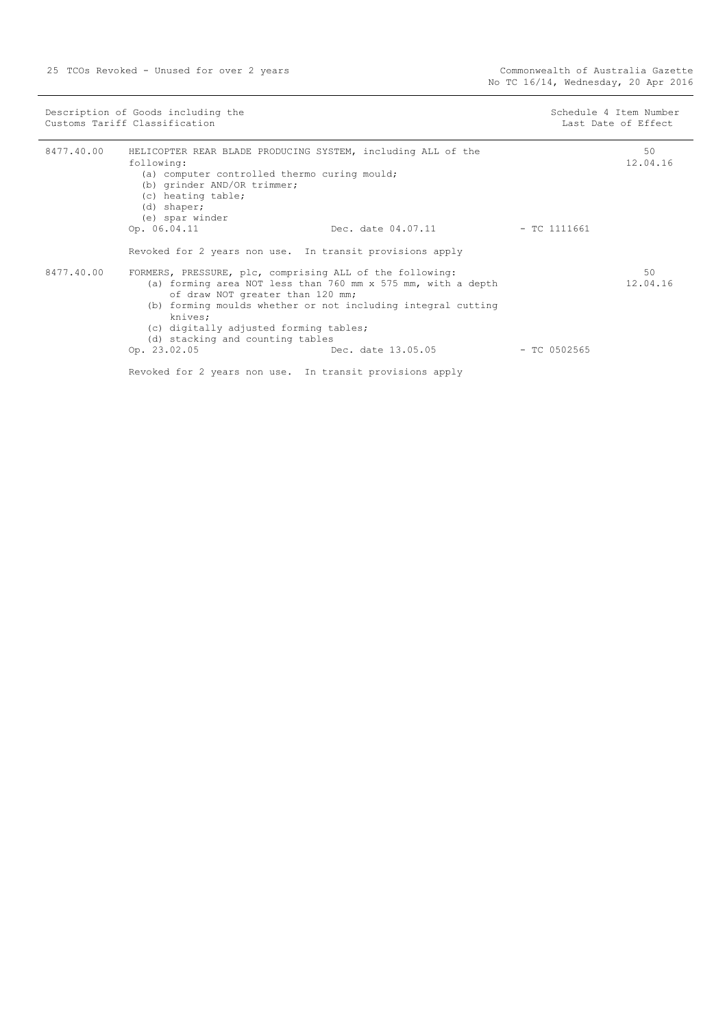|            | Description of Goods including the<br>Customs Tariff Classification                                                                                                                                                                                                                                                   |                    |                | Schedule 4 Item Number<br>Last Date of Effect |
|------------|-----------------------------------------------------------------------------------------------------------------------------------------------------------------------------------------------------------------------------------------------------------------------------------------------------------------------|--------------------|----------------|-----------------------------------------------|
| 8477.40.00 | HELICOPTER REAR BLADE PRODUCING SYSTEM, including ALL of the<br>following:<br>(a) computer controlled thermo curing mould;<br>(b) grinder AND/OR trimmer;<br>(c) heating table;<br>(d) shaper;<br>(e) spar winder                                                                                                     |                    |                | 50<br>12.04.16                                |
|            | Op. 06.04.11<br>Revoked for 2 years non use. In transit provisions apply                                                                                                                                                                                                                                              | Dec. date 04.07.11 | - TC 1111661   |                                               |
| 8477.40.00 | FORMERS, PRESSURE, plc, comprising ALL of the following:<br>(a) forming area NOT less than 760 mm x 575 mm, with a depth<br>of draw NOT greater than 120 mm;<br>(b) forming moulds whether or not including integral cutting<br>knives;<br>(c) digitally adjusted forming tables;<br>(d) stacking and counting tables |                    | 50<br>12.04.16 |                                               |
|            | Op. 23.02.05                                                                                                                                                                                                                                                                                                          | Dec. date 13.05.05 | - TC 0502565   |                                               |
|            | Revoked for 2 years non use. In transit provisions apply                                                                                                                                                                                                                                                              |                    |                |                                               |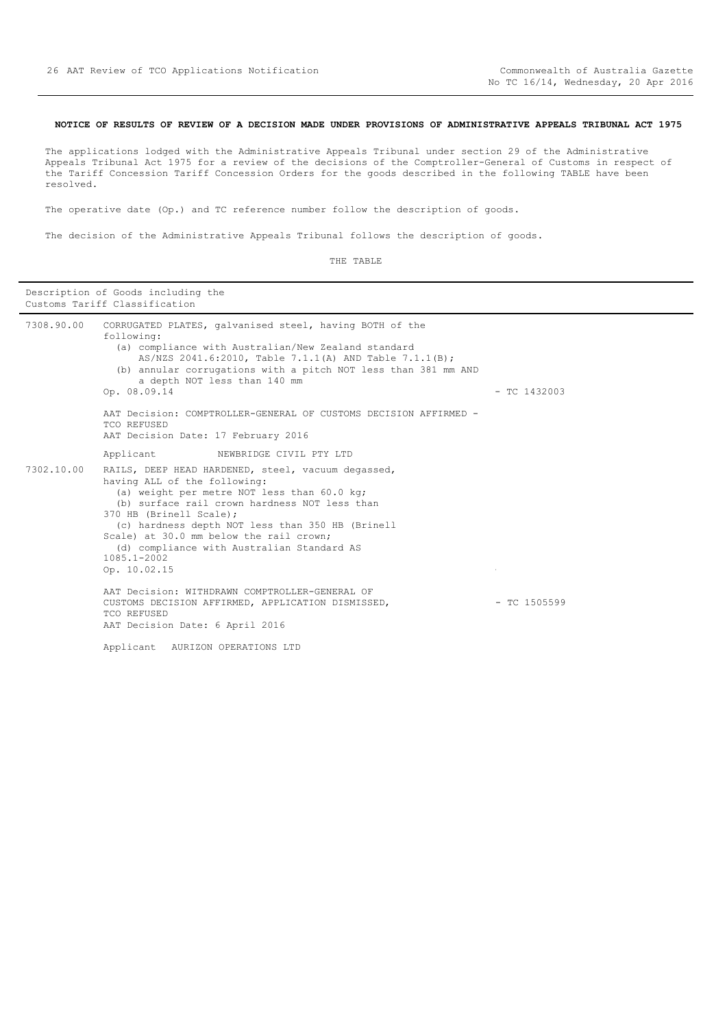#### <span id="page-25-0"></span>**NOTICE OF RESULTS OF REVIEW OF A DECISION MADE UNDER PROVISIONS OF ADMINISTRATIVE APPEALS TRIBUNAL ACT 1975**

The applications lodged with the Administrative Appeals Tribunal under section 29 of the Administrative Appeals Tribunal Act 1975 for a review of the decisions of the Comptroller-General of Customs in respect of the Tariff Concession Tariff Concession Orders for the goods described in the following TABLE have been resolved.

The operative date (Op.) and TC reference number follow the description of goods.

The decision of the Administrative Appeals Tribunal follows the description of goods.

| Description of Goods including the<br>Customs Tariff Classification |                                                                                                                                                                                                                                                                                                                                                                                           |                |  |
|---------------------------------------------------------------------|-------------------------------------------------------------------------------------------------------------------------------------------------------------------------------------------------------------------------------------------------------------------------------------------------------------------------------------------------------------------------------------------|----------------|--|
| 7308.90.00                                                          | CORRUGATED PLATES, galvanised steel, having BOTH of the<br>following:<br>(a) compliance with Australian/New Zealand standard<br>AS/NZS 2041.6:2010, Table 7.1.1(A) AND Table 7.1.1(B);<br>(b) annular corrugations with a pitch NOT less than 381 mm AND<br>a depth NOT less than 140 mm<br>Op. 08.09.14<br>AAT Decision: COMPTROLLER-GENERAL OF CUSTOMS DECISION AFFIRMED -              | $-$ TC 1432003 |  |
|                                                                     | TCO REFUSED<br>AAT Decision Date: 17 February 2016                                                                                                                                                                                                                                                                                                                                        |                |  |
|                                                                     | Applicant<br>NEWBRIDGE CIVIL PTY LTD                                                                                                                                                                                                                                                                                                                                                      |                |  |
| 7302.10.00                                                          | RAILS, DEEP HEAD HARDENED, steel, vacuum degassed,<br>having ALL of the following:<br>(a) weight per metre NOT less than 60.0 kg;<br>(b) surface rail crown hardness NOT less than<br>370 HB (Brinell Scale);<br>(c) hardness depth NOT less than 350 HB (Brinell<br>Scale) at 30.0 mm below the rail crown;<br>(d) compliance with Australian Standard AS<br>1085.1-2002<br>Op. 10.02.15 |                |  |
|                                                                     | AAT Decision: WITHDRAWN COMPTROLLER-GENERAL OF<br>CUSTOMS DECISION AFFIRMED, APPLICATION DISMISSED,<br>TCO REFUSED<br>AAT Decision Date: 6 April 2016                                                                                                                                                                                                                                     | $-$ TC 1505599 |  |
|                                                                     | Applicant AURIZON OPERATIONS LTD                                                                                                                                                                                                                                                                                                                                                          |                |  |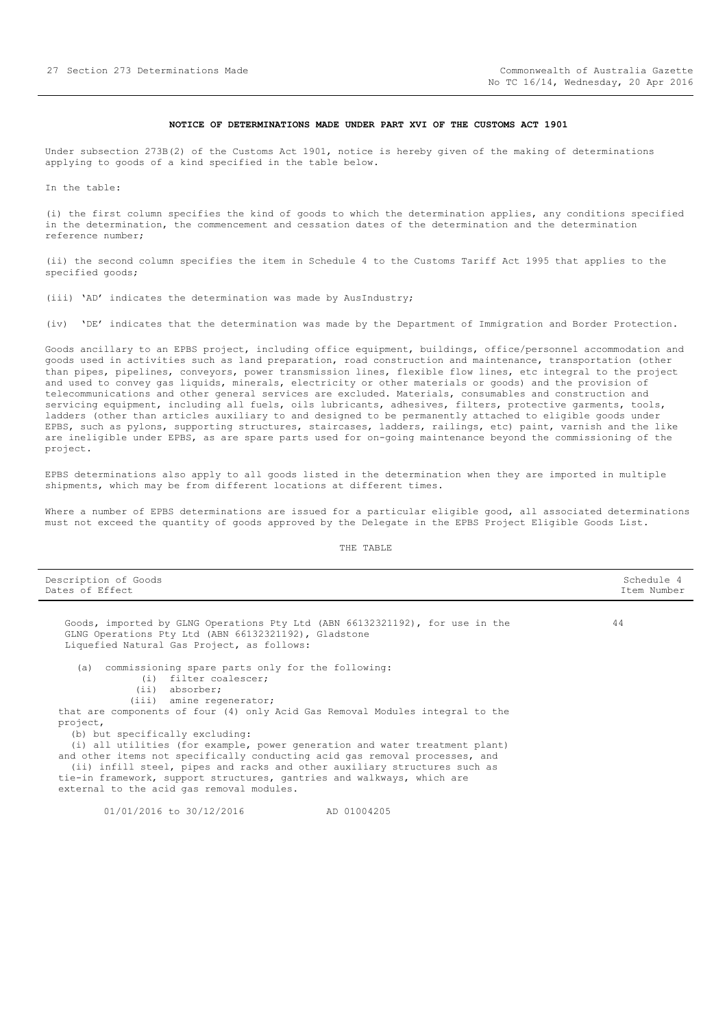#### **NOTICE OF DETERMINATIONS MADE UNDER PART XVI OF THE CUSTOMS ACT 1901**

<span id="page-26-0"></span>Under subsection 273B(2) of the Customs Act 1901, notice is hereby given of the making of determinations applying to goods of a kind specified in the table below.

In the table:

(i) the first column specifies the kind of goods to which the determination applies, any conditions specified in the determination, the commencement and cessation dates of the determination and the determination reference number;

(ii) the second column specifies the item in Schedule 4 to the Customs Tariff Act 1995 that applies to the specified goods;

(iii) 'AD' indicates the determination was made by AusIndustry;

(iv) 'DE' indicates that the determination was made by the Department of Immigration and Border Protection.

Goods ancillary to an EPBS project, including office equipment, buildings, office/personnel accommodation and goods used in activities such as land preparation, road construction and maintenance, transportation (other than pipes, pipelines, conveyors, power transmission lines, flexible flow lines, etc integral to the project and used to convey gas liquids, minerals, electricity or other materials or goods) and the provision of telecommunications and other general services are excluded. Materials, consumables and construction and servicing equipment, including all fuels, oils lubricants, adhesives, filters, protective garments, tools, ladders (other than articles auxiliary to and designed to be permanently attached to eligible goods under EPBS, such as pylons, supporting structures, staircases, ladders, railings, etc) paint, varnish and the like are ineligible under EPBS, as are spare parts used for on-going maintenance beyond the commissioning of the project.

EPBS determinations also apply to all goods listed in the determination when they are imported in multiple shipments, which may be from different locations at different times.

Where a number of EPBS determinations are issued for a particular eligible good, all associated determinations must not exceed the quantity of goods approved by the Delegate in the EPBS Project Eligible Goods List.

| Description of Goods<br>Dates of Effect                                                                                                                                                                                                                                                                                                                        | Schedule 4<br>Item Number |
|----------------------------------------------------------------------------------------------------------------------------------------------------------------------------------------------------------------------------------------------------------------------------------------------------------------------------------------------------------------|---------------------------|
| Goods, imported by GLNG Operations Pty Ltd (ABN 66132321192), for use in the                                                                                                                                                                                                                                                                                   | 44                        |
| GLNG Operations Pty Ltd (ABN 66132321192), Gladstone<br>Liquefied Natural Gas Project, as follows:                                                                                                                                                                                                                                                             |                           |
| (a) commissioning spare parts only for the following:<br>(i) filter coalescer;                                                                                                                                                                                                                                                                                 |                           |
| $(i)$ absorber;<br>(iii) amine regenerator;                                                                                                                                                                                                                                                                                                                    |                           |
| that are components of four (4) only Acid Gas Removal Modules integral to the                                                                                                                                                                                                                                                                                  |                           |
| project,<br>(b) but specifically excluding:                                                                                                                                                                                                                                                                                                                    |                           |
| (i) all utilities (for example, power generation and water treatment plant)<br>and other items not specifically conducting acid gas removal processes, and<br>(ii) infill steel, pipes and racks and other auxiliary structures such as<br>tie-in framework, support structures, gantries and walkways, which are<br>external to the acid gas removal modules. |                           |
| 01/01/2016 to 30/12/2016<br>AD 01004205                                                                                                                                                                                                                                                                                                                        |                           |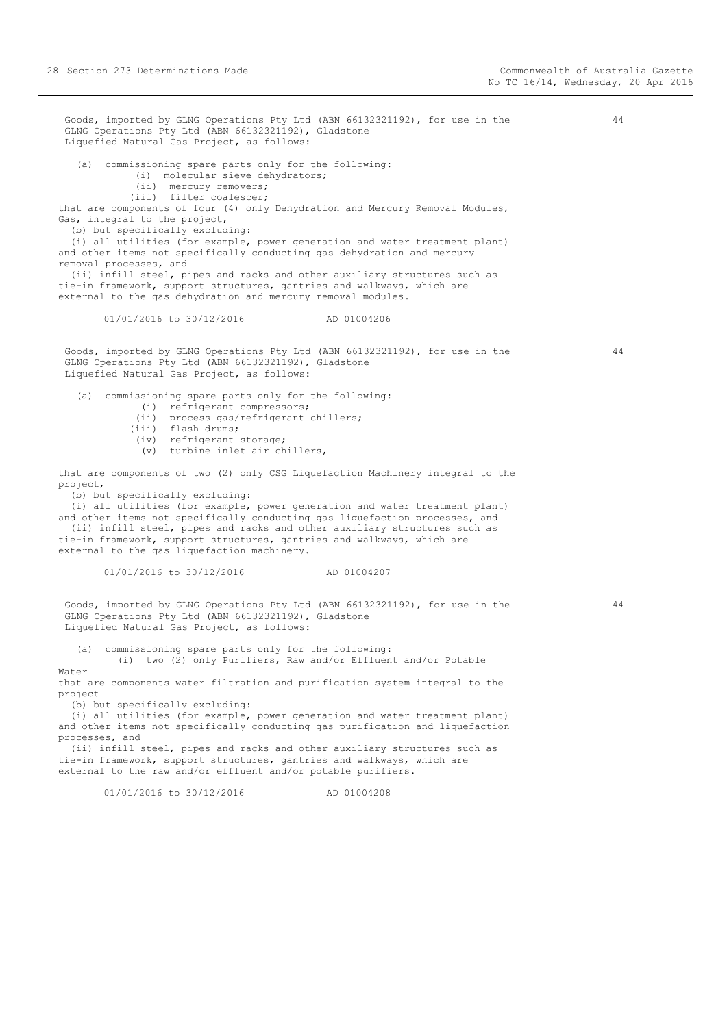Goods, imported by GLNG Operations Pty Ltd (ABN 66132321192), for use in the GLNG Operations Pty Ltd (ABN 66132321192), Gladstone Liquefied Natural Gas Project, as follows: (a) commissioning spare parts only for the following: (i) molecular sieve dehydrators; (ii) mercury removers; (iii) filter coalescer; that are components of four (4) only Dehydration and Mercury Removal Modules, Gas, integral to the project, (b) but specifically excluding: (i) all utilities (for example, power generation and water treatment plant) and other items not specifically conducting gas dehydration and mercury removal processes, and (ii) infill steel, pipes and racks and other auxiliary structures such as tie-in framework, support structures, gantries and walkways, which are external to the gas dehydration and mercury removal modules. 01/01/2016 to 30/12/2016 AD 01004206 Goods, imported by GLNG Operations Pty Ltd (ABN 66132321192), for use in the GLNG Operations Pty Ltd (ABN 66132321192), Gladstone Liquefied Natural Gas Project, as follows: (a) commissioning spare parts only for the following: (i) refrigerant compressors; (ii) process gas/refrigerant chillers; (iii) flash drums; (iv) refrigerant storage; (v) turbine inlet air chillers, that are components of two (2) only CSG Liquefaction Machinery integral to the project, (b) but specifically excluding: (i) all utilities (for example, power generation and water treatment plant) and other items not specifically conducting gas liquefaction processes, and (ii) infill steel, pipes and racks and other auxiliary structures such as tie-in framework, support structures, gantries and walkways, which are external to the gas liquefaction machinery. 01/01/2016 to 30/12/2016 AD 01004207 Goods, imported by GLNG Operations Pty Ltd (ABN 66132321192), for use in the GLNG Operations Pty Ltd (ABN 66132321192), Gladstone Liquefied Natural Gas Project, as follows: (a) commissioning spare parts only for the following: (i) two (2) only Purifiers, Raw and/or Effluent and/or Potable Water that are components water filtration and purification system integral to the project (b) but specifically excluding: (i) all utilities (for example, power generation and water treatment plant) and other items not specifically conducting gas purification and liquefaction processes, and (ii) infill steel, pipes and racks and other auxiliary structures such as tie-in framework, support structures, gantries and walkways, which are external to the raw and/or effluent and/or potable purifiers.

01/01/2016 to 30/12/2016 AD 01004208

44

44

44